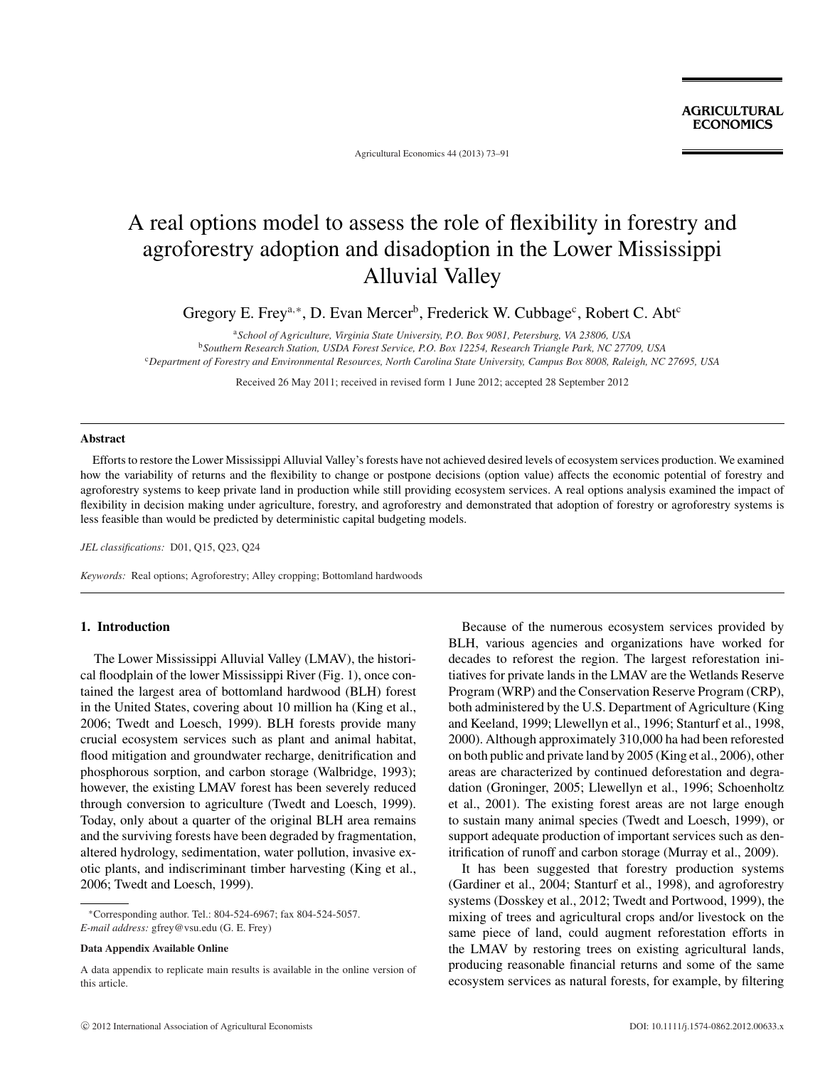Agricultural Economics 44 (2013) 73–91

# A real options model to assess the role of flexibility in forestry and agroforestry adoption and disadoption in the Lower Mississippi Alluvial Valley

Gregory E. Frey<sup>a,∗</sup>, D. Evan Mercer<sup>b</sup>, Frederick W. Cubbage<sup>c</sup>, Robert C. Abt<sup>c</sup>

<sup>a</sup>*School of Agriculture, Virginia State University, P.O. Box 9081, Petersburg, VA 23806, USA* <sup>b</sup>*Southern Research Station, USDA Forest Service, P.O. Box 12254, Research Triangle Park, NC 27709, USA* <sup>c</sup>*Department of Forestry and Environmental Resources, North Carolina State University, Campus Box 8008, Raleigh, NC 27695, USA*

Received 26 May 2011; received in revised form 1 June 2012; accepted 28 September 2012

# **Abstract**

Efforts to restore the Lower Mississippi Alluvial Valley's forests have not achieved desired levels of ecosystem services production. We examined how the variability of returns and the flexibility to change or postpone decisions (option value) affects the economic potential of forestry and agroforestry systems to keep private land in production while still providing ecosystem services. A real options analysis examined the impact of flexibility in decision making under agriculture, forestry, and agroforestry and demonstrated that adoption of forestry or agroforestry systems is less feasible than would be predicted by deterministic capital budgeting models.

*JEL classifications:* D01, Q15, Q23, Q24

*Keywords:* Real options; Agroforestry; Alley cropping; Bottomland hardwoods

# **1. Introduction**

The Lower Mississippi Alluvial Valley (LMAV), the historical floodplain of the lower Mississippi River (Fig. 1), once contained the largest area of bottomland hardwood (BLH) forest in the United States, covering about 10 million ha (King et al., 2006; Twedt and Loesch, 1999). BLH forests provide many crucial ecosystem services such as plant and animal habitat, flood mitigation and groundwater recharge, denitrification and phosphorous sorption, and carbon storage (Walbridge, 1993); however, the existing LMAV forest has been severely reduced through conversion to agriculture (Twedt and Loesch, 1999). Today, only about a quarter of the original BLH area remains and the surviving forests have been degraded by fragmentation, altered hydrology, sedimentation, water pollution, invasive exotic plants, and indiscriminant timber harvesting (King et al., 2006; Twedt and Loesch, 1999).

<sup>∗</sup>Corresponding author. Tel.: 804-524-6967; fax 804-524-5057. *E-mail address:* gfrey@vsu.edu (G. E. Frey)

**Data Appendix Available Online**

Because of the numerous ecosystem services provided by BLH, various agencies and organizations have worked for decades to reforest the region. The largest reforestation initiatives for private lands in the LMAV are the Wetlands Reserve Program (WRP) and the Conservation Reserve Program (CRP), both administered by the U.S. Department of Agriculture (King and Keeland, 1999; Llewellyn et al., 1996; Stanturf et al., 1998, 2000). Although approximately 310,000 ha had been reforested on both public and private land by 2005 (King et al., 2006), other areas are characterized by continued deforestation and degradation (Groninger, 2005; Llewellyn et al., 1996; Schoenholtz et al., 2001). The existing forest areas are not large enough to sustain many animal species (Twedt and Loesch, 1999), or support adequate production of important services such as denitrification of runoff and carbon storage (Murray et al., 2009).

It has been suggested that forestry production systems (Gardiner et al., 2004; Stanturf et al., 1998), and agroforestry systems (Dosskey et al., 2012; Twedt and Portwood, 1999), the mixing of trees and agricultural crops and/or livestock on the same piece of land, could augment reforestation efforts in the LMAV by restoring trees on existing agricultural lands, producing reasonable financial returns and some of the same ecosystem services as natural forests, for example, by filtering

A data appendix to replicate main results is available in the online version of this article.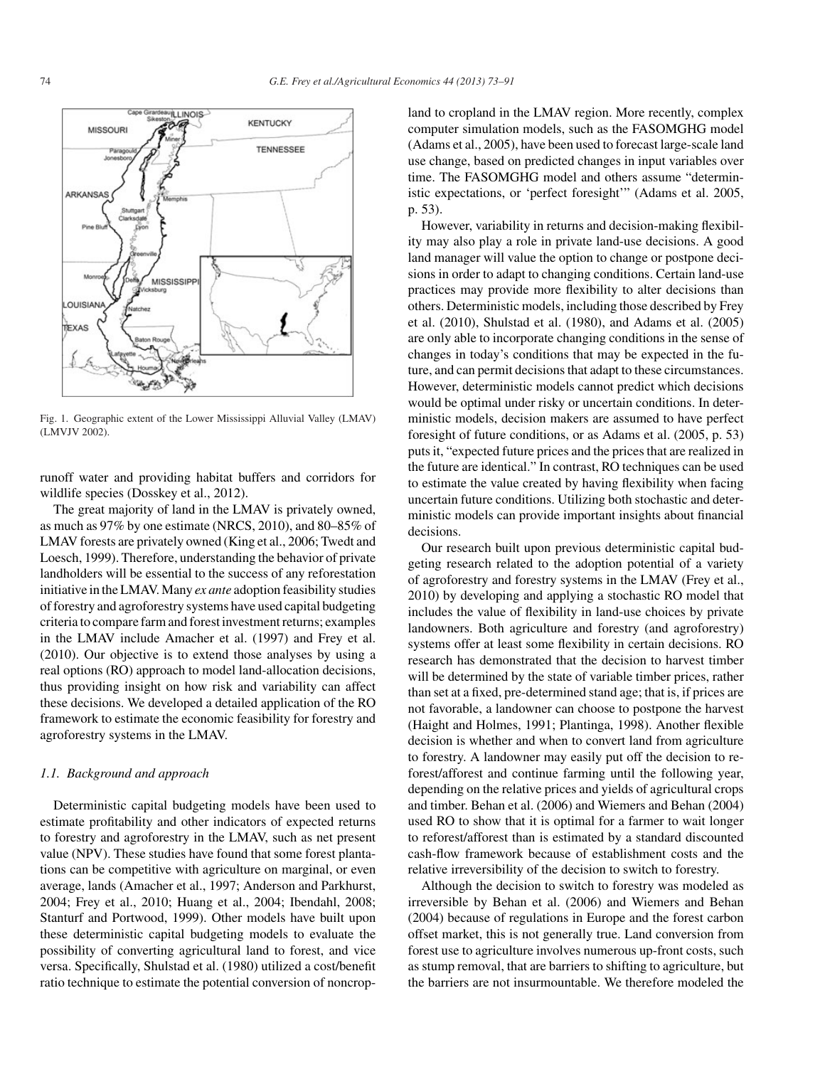

Fig. 1. Geographic extent of the Lower Mississippi Alluvial Valley (LMAV) (LMVJV 2002).

runoff water and providing habitat buffers and corridors for wildlife species (Dosskey et al., 2012).

The great majority of land in the LMAV is privately owned, as much as 97% by one estimate (NRCS, 2010), and 80–85% of LMAV forests are privately owned (King et al., 2006; Twedt and Loesch, 1999). Therefore, understanding the behavior of private landholders will be essential to the success of any reforestation initiative in the LMAV. Many *ex ante* adoption feasibility studies of forestry and agroforestry systems have used capital budgeting criteria to compare farm and forest investment returns; examples in the LMAV include Amacher et al. (1997) and Frey et al. (2010). Our objective is to extend those analyses by using a real options (RO) approach to model land-allocation decisions, thus providing insight on how risk and variability can affect these decisions. We developed a detailed application of the RO framework to estimate the economic feasibility for forestry and agroforestry systems in the LMAV.

#### *1.1. Background and approach*

Deterministic capital budgeting models have been used to estimate profitability and other indicators of expected returns to forestry and agroforestry in the LMAV, such as net present value (NPV). These studies have found that some forest plantations can be competitive with agriculture on marginal, or even average, lands (Amacher et al., 1997; Anderson and Parkhurst, 2004; Frey et al., 2010; Huang et al., 2004; Ibendahl, 2008; Stanturf and Portwood, 1999). Other models have built upon these deterministic capital budgeting models to evaluate the possibility of converting agricultural land to forest, and vice versa. Specifically, Shulstad et al. (1980) utilized a cost/benefit ratio technique to estimate the potential conversion of noncropland to cropland in the LMAV region. More recently, complex computer simulation models, such as the FASOMGHG model (Adams et al., 2005), have been used to forecast large-scale land use change, based on predicted changes in input variables over time. The FASOMGHG model and others assume "deterministic expectations, or 'perfect foresight'" (Adams et al. 2005, p. 53).

However, variability in returns and decision-making flexibility may also play a role in private land-use decisions. A good land manager will value the option to change or postpone decisions in order to adapt to changing conditions. Certain land-use practices may provide more flexibility to alter decisions than others. Deterministic models, including those described by Frey et al. (2010), Shulstad et al. (1980), and Adams et al. (2005) are only able to incorporate changing conditions in the sense of changes in today's conditions that may be expected in the future, and can permit decisions that adapt to these circumstances. However, deterministic models cannot predict which decisions would be optimal under risky or uncertain conditions. In deterministic models, decision makers are assumed to have perfect foresight of future conditions, or as Adams et al. (2005, p. 53) puts it, "expected future prices and the prices that are realized in the future are identical." In contrast, RO techniques can be used to estimate the value created by having flexibility when facing uncertain future conditions. Utilizing both stochastic and deterministic models can provide important insights about financial decisions.

Our research built upon previous deterministic capital budgeting research related to the adoption potential of a variety of agroforestry and forestry systems in the LMAV (Frey et al., 2010) by developing and applying a stochastic RO model that includes the value of flexibility in land-use choices by private landowners. Both agriculture and forestry (and agroforestry) systems offer at least some flexibility in certain decisions. RO research has demonstrated that the decision to harvest timber will be determined by the state of variable timber prices, rather than set at a fixed, pre-determined stand age; that is, if prices are not favorable, a landowner can choose to postpone the harvest (Haight and Holmes, 1991; Plantinga, 1998). Another flexible decision is whether and when to convert land from agriculture to forestry. A landowner may easily put off the decision to reforest/afforest and continue farming until the following year, depending on the relative prices and yields of agricultural crops and timber. Behan et al. (2006) and Wiemers and Behan (2004) used RO to show that it is optimal for a farmer to wait longer to reforest/afforest than is estimated by a standard discounted cash-flow framework because of establishment costs and the relative irreversibility of the decision to switch to forestry.

Although the decision to switch to forestry was modeled as irreversible by Behan et al. (2006) and Wiemers and Behan (2004) because of regulations in Europe and the forest carbon offset market, this is not generally true. Land conversion from forest use to agriculture involves numerous up-front costs, such as stump removal, that are barriers to shifting to agriculture, but the barriers are not insurmountable. We therefore modeled the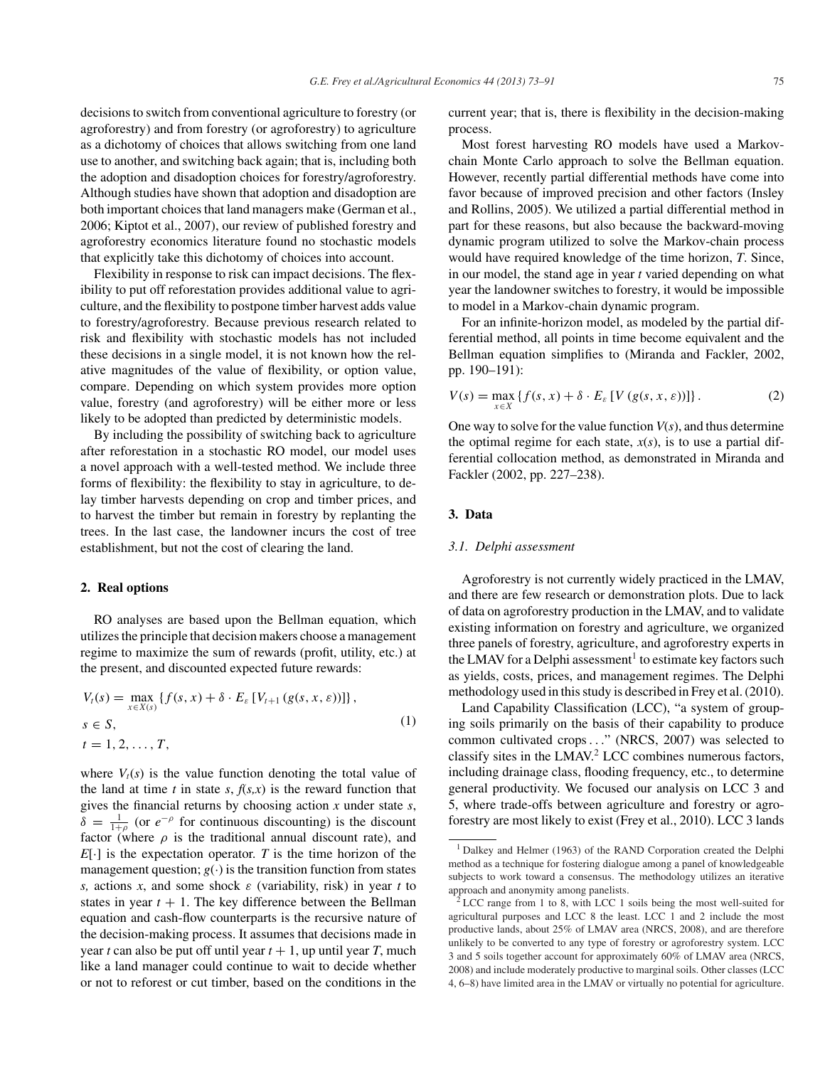decisions to switch from conventional agriculture to forestry (or agroforestry) and from forestry (or agroforestry) to agriculture as a dichotomy of choices that allows switching from one land use to another, and switching back again; that is, including both the adoption and disadoption choices for forestry/agroforestry. Although studies have shown that adoption and disadoption are both important choices that land managers make (German et al., 2006; Kiptot et al., 2007), our review of published forestry and agroforestry economics literature found no stochastic models that explicitly take this dichotomy of choices into account.

Flexibility in response to risk can impact decisions. The flexibility to put off reforestation provides additional value to agriculture, and the flexibility to postpone timber harvest adds value to forestry/agroforestry. Because previous research related to risk and flexibility with stochastic models has not included these decisions in a single model, it is not known how the relative magnitudes of the value of flexibility, or option value, compare. Depending on which system provides more option value, forestry (and agroforestry) will be either more or less likely to be adopted than predicted by deterministic models.

By including the possibility of switching back to agriculture after reforestation in a stochastic RO model, our model uses a novel approach with a well-tested method. We include three forms of flexibility: the flexibility to stay in agriculture, to delay timber harvests depending on crop and timber prices, and to harvest the timber but remain in forestry by replanting the trees. In the last case, the landowner incurs the cost of tree establishment, but not the cost of clearing the land.

#### **2. Real options**

RO analyses are based upon the Bellman equation, which utilizes the principle that decision makers choose a management regime to maximize the sum of rewards (profit, utility, etc.) at the present, and discounted expected future rewards:

$$
V_t(s) = \max_{x \in X(s)} \{ f(s, x) + \delta \cdot E_{\varepsilon} [V_{t+1} (g(s, x, \varepsilon))] \},
$$
  
s \in S,  
 $t = 1, 2, ..., T,$  (1)

where  $V_t(s)$  is the value function denoting the total value of the land at time *t* in state *s*,  $f(s,x)$  is the reward function that gives the financial returns by choosing action *x* under state *s*,  $\delta = \frac{1}{1+\rho}$  (or  $e^{-\rho}$  for continuous discounting) is the discount  $\delta$  factor (where  $\rho$  is the traditional annual discount rate) and factor (where  $\rho$  is the traditional annual discount rate), and  $E[\cdot]$  is the expectation operator. *T* is the time horizon of the management question;  $g(\cdot)$  is the transition function from states *s,* actions *<sup>x</sup>*, and some shock ε (variability, risk) in year *<sup>t</sup>* to states in year  $t + 1$ . The key difference between the Bellman equation and cash-flow counterparts is the recursive nature of the decision-making process. It assumes that decisions made in year *t* can also be put off until year  $t + 1$ , up until year *T*, much like a land manager could continue to wait to decide whether or not to reforest or cut timber, based on the conditions in the

current year; that is, there is flexibility in the decision-making process.

Most forest harvesting RO models have used a Markovchain Monte Carlo approach to solve the Bellman equation. However, recently partial differential methods have come into favor because of improved precision and other factors (Insley and Rollins, 2005). We utilized a partial differential method in part for these reasons, but also because the backward-moving dynamic program utilized to solve the Markov-chain process would have required knowledge of the time horizon, *T*. Since, in our model, the stand age in year *t* varied depending on what year the landowner switches to forestry, it would be impossible to model in a Markov-chain dynamic program.

For an infinite-horizon model, as modeled by the partial differential method, all points in time become equivalent and the Bellman equation simplifies to (Miranda and Fackler, 2002, pp. 190–191):

$$
V(s) = \max_{x \in X} \{ f(s, x) + \delta \cdot E_{\varepsilon} [V(g(s, x, \varepsilon))] \}.
$$
 (2)

One way to solve for the value function *V*(*s*), and thus determine the optimal regime for each state,  $x(s)$ , is to use a partial differential collocation method, as demonstrated in Miranda and Fackler (2002, pp. 227–238).

#### **3. Data**

# *3.1. Delphi assessment*

Agroforestry is not currently widely practiced in the LMAV, and there are few research or demonstration plots. Due to lack of data on agroforestry production in the LMAV, and to validate existing information on forestry and agriculture, we organized three panels of forestry, agriculture, and agroforestry experts in the LMAV for a Delphi assessment<sup>1</sup> to estimate key factors such as yields, costs, prices, and management regimes. The Delphi methodology used in this study is described in Frey et al. (2010).

Land Capability Classification (LCC), "a system of grouping soils primarily on the basis of their capability to produce common cultivated crops..." (NRCS, 2007) was selected to classify sites in the LMAV.<sup>2</sup> LCC combines numerous factors, including drainage class, flooding frequency, etc., to determine general productivity. We focused our analysis on LCC 3 and 5, where trade-offs between agriculture and forestry or agroforestry are most likely to exist (Frey et al., 2010). LCC 3 lands

<sup>1</sup> Dalkey and Helmer (1963) of the RAND Corporation created the Delphi method as a technique for fostering dialogue among a panel of knowledgeable subjects to work toward a consensus. The methodology utilizes an iterative

approach and anonymity among panelists. <sup>2</sup> LCC range from 1 to 8, with LCC 1 soils being the most well-suited for agricultural purposes and LCC 8 the least. LCC 1 and 2 include the most productive lands, about 25% of LMAV area (NRCS, 2008), and are therefore unlikely to be converted to any type of forestry or agroforestry system. LCC 3 and 5 soils together account for approximately 60% of LMAV area (NRCS, 2008) and include moderately productive to marginal soils. Other classes (LCC 4, 6–8) have limited area in the LMAV or virtually no potential for agriculture.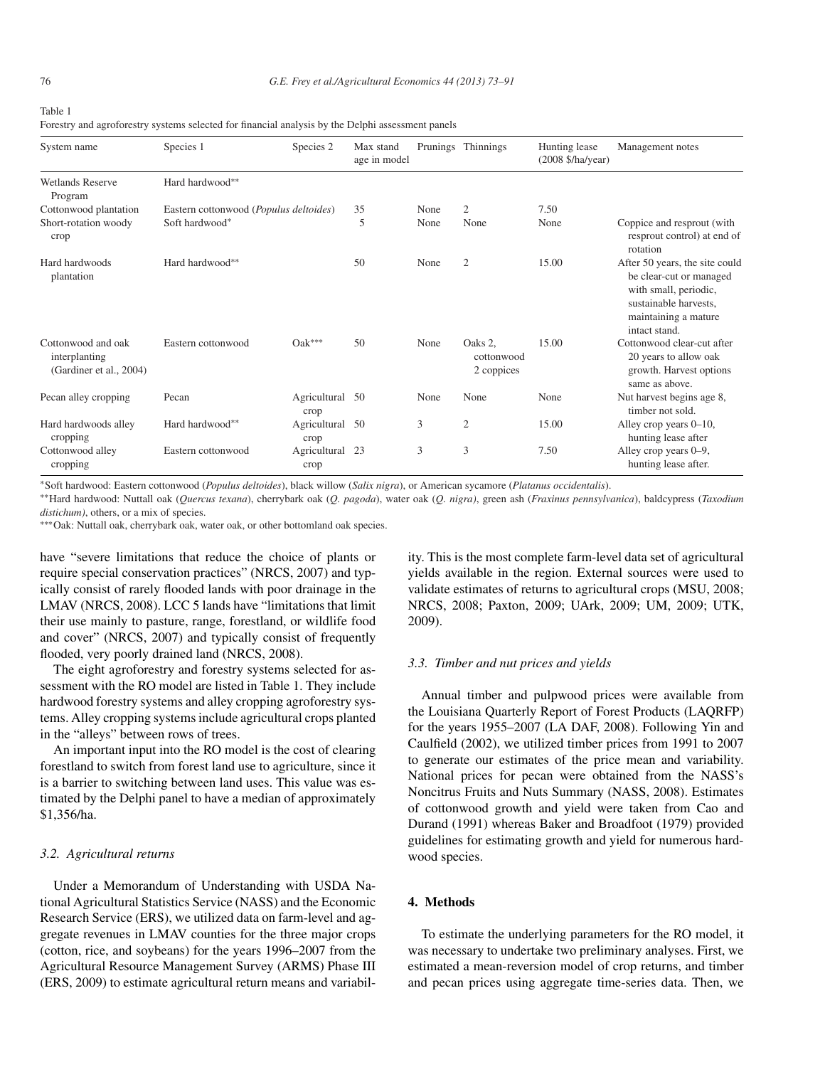| Table 1                                                                                           |
|---------------------------------------------------------------------------------------------------|
| Forestry and agroforestry systems selected for financial analysis by the Delphi assessment panels |

| System name                                                    | Species 1                              | Species 2            | Max stand<br>age in model | Prunings | Thinnings                           | Hunting lease<br>(2008 \$/ha/year) | Management notes                                                                                                                                     |
|----------------------------------------------------------------|----------------------------------------|----------------------|---------------------------|----------|-------------------------------------|------------------------------------|------------------------------------------------------------------------------------------------------------------------------------------------------|
| <b>Wetlands Reserve</b><br>Program                             | Hard hardwood**                        |                      |                           |          |                                     |                                    |                                                                                                                                                      |
| Cottonwood plantation                                          | Eastern cottonwood (Populus deltoides) |                      | 35                        | None     | $\overline{2}$                      | 7.50                               |                                                                                                                                                      |
| Short-rotation woody<br>crop                                   | Soft hardwood*                         |                      | 5                         | None     | None                                | None                               | Coppice and resprout (with<br>resprout control) at end of<br>rotation                                                                                |
| Hard hardwoods<br>plantation                                   | Hard hardwood**                        |                      | 50                        | None     | $\overline{2}$                      | 15.00                              | After 50 years, the site could<br>be clear-cut or managed<br>with small, periodic,<br>sustainable harvests,<br>maintaining a mature<br>intact stand. |
| Cottonwood and oak<br>interplanting<br>(Gardiner et al., 2004) | Eastern cottonwood                     | $\mathrm{Oak}^{***}$ | 50                        | None     | Oaks 2.<br>cottonwood<br>2 coppices | 15.00                              | Cottonwood clear-cut after<br>20 years to allow oak<br>growth. Harvest options<br>same as above.                                                     |
| Pecan alley cropping                                           | Pecan                                  | Agricultural<br>crop | 50                        | None     | None                                | None                               | Nut harvest begins age 8,<br>timber not sold.                                                                                                        |
| Hard hardwoods alley<br>cropping                               | Hard hardwood**                        | Agricultural<br>crop | 50                        | 3        | $\overline{2}$                      | 15.00                              | Alley crop years 0–10,<br>hunting lease after                                                                                                        |
| Cottonwood alley<br>cropping                                   | Eastern cottonwood                     | Agricultural<br>crop | 23                        | 3        | 3                                   | 7.50                               | Alley crop years 0–9,<br>hunting lease after.                                                                                                        |

<sup>∗</sup>Soft hardwood: Eastern cottonwood (*Populus deltoides*), black willow (*Salix nigra*), or American sycamore (*Platanus occidentalis*).

∗∗Hard hardwood: Nuttall oak (*Quercus texana*), cherrybark oak (*Q. pagoda*), water oak (*Q. nigra)*, green ash (*Fraxinus pennsylvanica*), baldcypress (*Taxodium distichum)*, others, or a mix of species.

∗∗∗Oak: Nuttall oak, cherrybark oak, water oak, or other bottomland oak species.

have "severe limitations that reduce the choice of plants or require special conservation practices" (NRCS, 2007) and typically consist of rarely flooded lands with poor drainage in the LMAV (NRCS, 2008). LCC 5 lands have "limitations that limit their use mainly to pasture, range, forestland, or wildlife food and cover" (NRCS, 2007) and typically consist of frequently flooded, very poorly drained land (NRCS, 2008).

The eight agroforestry and forestry systems selected for assessment with the RO model are listed in Table 1. They include hardwood forestry systems and alley cropping agroforestry systems. Alley cropping systems include agricultural crops planted in the "alleys" between rows of trees.

An important input into the RO model is the cost of clearing forestland to switch from forest land use to agriculture, since it is a barrier to switching between land uses. This value was estimated by the Delphi panel to have a median of approximately \$1,356/ha.

# *3.2. Agricultural returns*

Under a Memorandum of Understanding with USDA National Agricultural Statistics Service (NASS) and the Economic Research Service (ERS), we utilized data on farm-level and aggregate revenues in LMAV counties for the three major crops (cotton, rice, and soybeans) for the years 1996–2007 from the Agricultural Resource Management Survey (ARMS) Phase III (ERS, 2009) to estimate agricultural return means and variability. This is the most complete farm-level data set of agricultural yields available in the region. External sources were used to validate estimates of returns to agricultural crops (MSU, 2008; NRCS, 2008; Paxton, 2009; UArk, 2009; UM, 2009; UTK, 2009).

#### *3.3. Timber and nut prices and yields*

Annual timber and pulpwood prices were available from the Louisiana Quarterly Report of Forest Products (LAQRFP) for the years 1955–2007 (LA DAF, 2008). Following Yin and Caulfield (2002), we utilized timber prices from 1991 to 2007 to generate our estimates of the price mean and variability. National prices for pecan were obtained from the NASS's Noncitrus Fruits and Nuts Summary (NASS, 2008). Estimates of cottonwood growth and yield were taken from Cao and Durand (1991) whereas Baker and Broadfoot (1979) provided guidelines for estimating growth and yield for numerous hardwood species.

# **4. Methods**

To estimate the underlying parameters for the RO model, it was necessary to undertake two preliminary analyses. First, we estimated a mean-reversion model of crop returns, and timber and pecan prices using aggregate time-series data. Then, we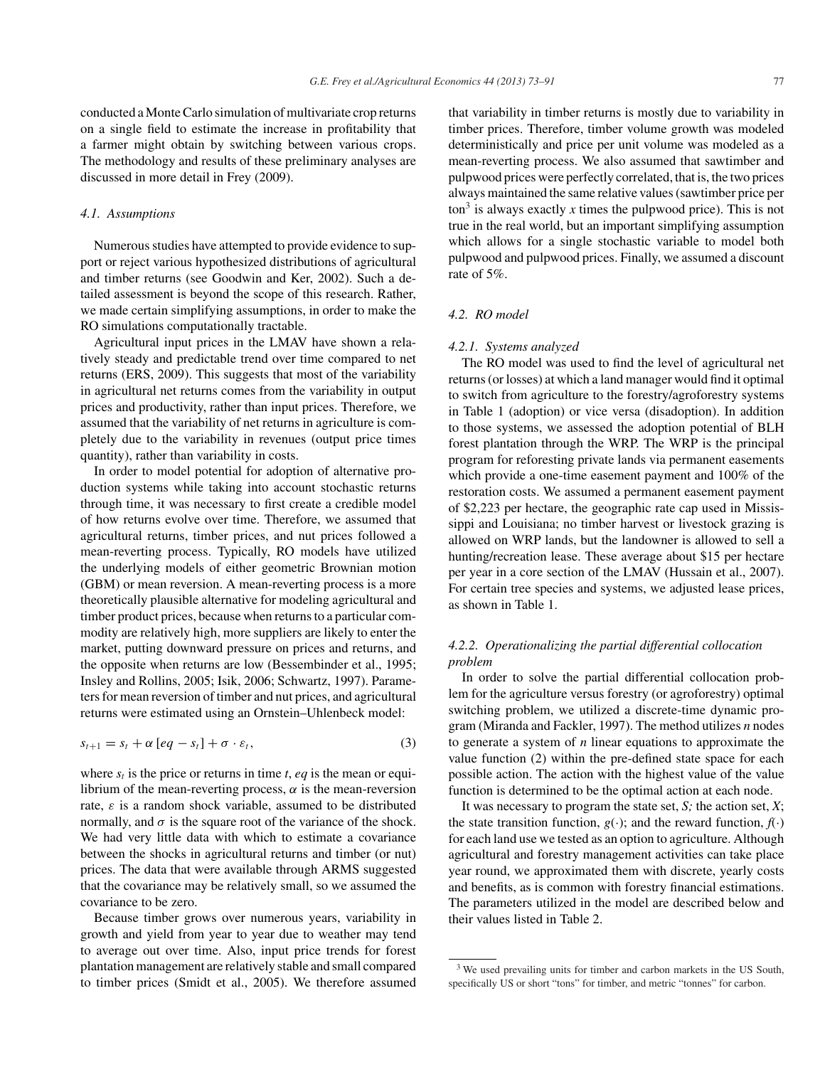### *4.1. Assumptions*

Numerous studies have attempted to provide evidence to support or reject various hypothesized distributions of agricultural and timber returns (see Goodwin and Ker, 2002). Such a detailed assessment is beyond the scope of this research. Rather, we made certain simplifying assumptions, in order to make the RO simulations computationally tractable.

Agricultural input prices in the LMAV have shown a relatively steady and predictable trend over time compared to net returns (ERS, 2009). This suggests that most of the variability in agricultural net returns comes from the variability in output prices and productivity, rather than input prices. Therefore, we assumed that the variability of net returns in agriculture is completely due to the variability in revenues (output price times quantity), rather than variability in costs.

In order to model potential for adoption of alternative production systems while taking into account stochastic returns through time, it was necessary to first create a credible model of how returns evolve over time. Therefore, we assumed that agricultural returns, timber prices, and nut prices followed a mean-reverting process. Typically, RO models have utilized the underlying models of either geometric Brownian motion (GBM) or mean reversion. A mean-reverting process is a more theoretically plausible alternative for modeling agricultural and timber product prices, because when returns to a particular commodity are relatively high, more suppliers are likely to enter the market, putting downward pressure on prices and returns, and the opposite when returns are low (Bessembinder et al., 1995; Insley and Rollins, 2005; Isik, 2006; Schwartz, 1997). Parameters for mean reversion of timber and nut prices, and agricultural returns were estimated using an Ornstein–Uhlenbeck model:

$$
s_{t+1} = s_t + \alpha \left[ eq - s_t \right] + \sigma \cdot \varepsilon_t, \tag{3}
$$

where  $s_t$  is the price or returns in time *t*, *eq* is the mean or equilibrium of the mean-reverting process,  $\alpha$  is the mean-reversion rate,  $\varepsilon$  is a random shock variable, assumed to be distributed normally, and  $\sigma$  is the square root of the variance of the shock. We had very little data with which to estimate a covariance between the shocks in agricultural returns and timber (or nut) prices. The data that were available through ARMS suggested that the covariance may be relatively small, so we assumed the covariance to be zero.

Because timber grows over numerous years, variability in growth and yield from year to year due to weather may tend to average out over time. Also, input price trends for forest plantation management are relatively stable and small compared to timber prices (Smidt et al., 2005). We therefore assumed

that variability in timber returns is mostly due to variability in timber prices. Therefore, timber volume growth was modeled deterministically and price per unit volume was modeled as a mean-reverting process. We also assumed that sawtimber and pulpwood prices were perfectly correlated, that is, the two prices always maintained the same relative values (sawtimber price per  $\tan^3$  is always exactly *x* times the pulpwood price). This is not true in the real world, but an important simplifying assumption which allows for a single stochastic variable to model both pulpwood and pulpwood prices. Finally, we assumed a discount rate of 5%.

# *4.2. RO model*

# *4.2.1. Systems analyzed*

The RO model was used to find the level of agricultural net returns (or losses) at which a land manager would find it optimal to switch from agriculture to the forestry/agroforestry systems in Table 1 (adoption) or vice versa (disadoption). In addition to those systems, we assessed the adoption potential of BLH forest plantation through the WRP. The WRP is the principal program for reforesting private lands via permanent easements which provide a one-time easement payment and 100% of the restoration costs. We assumed a permanent easement payment of \$2,223 per hectare, the geographic rate cap used in Mississippi and Louisiana; no timber harvest or livestock grazing is allowed on WRP lands, but the landowner is allowed to sell a hunting/recreation lease. These average about \$15 per hectare per year in a core section of the LMAV (Hussain et al., 2007). For certain tree species and systems, we adjusted lease prices, as shown in Table 1.

# *4.2.2. Operationalizing the partial differential collocation problem*

In order to solve the partial differential collocation problem for the agriculture versus forestry (or agroforestry) optimal switching problem, we utilized a discrete-time dynamic program (Miranda and Fackler, 1997). The method utilizes *n* nodes to generate a system of *n* linear equations to approximate the value function (2) within the pre-defined state space for each possible action. The action with the highest value of the value function is determined to be the optimal action at each node.

It was necessary to program the state set, *S;* the action set, *X*; the state transition function,  $g(\cdot)$ ; and the reward function,  $f(\cdot)$ for each land use we tested as an option to agriculture. Although agricultural and forestry management activities can take place year round, we approximated them with discrete, yearly costs and benefits, as is common with forestry financial estimations. The parameters utilized in the model are described below and their values listed in Table 2.

<sup>3</sup> We used prevailing units for timber and carbon markets in the US South, specifically US or short "tons" for timber, and metric "tonnes" for carbon.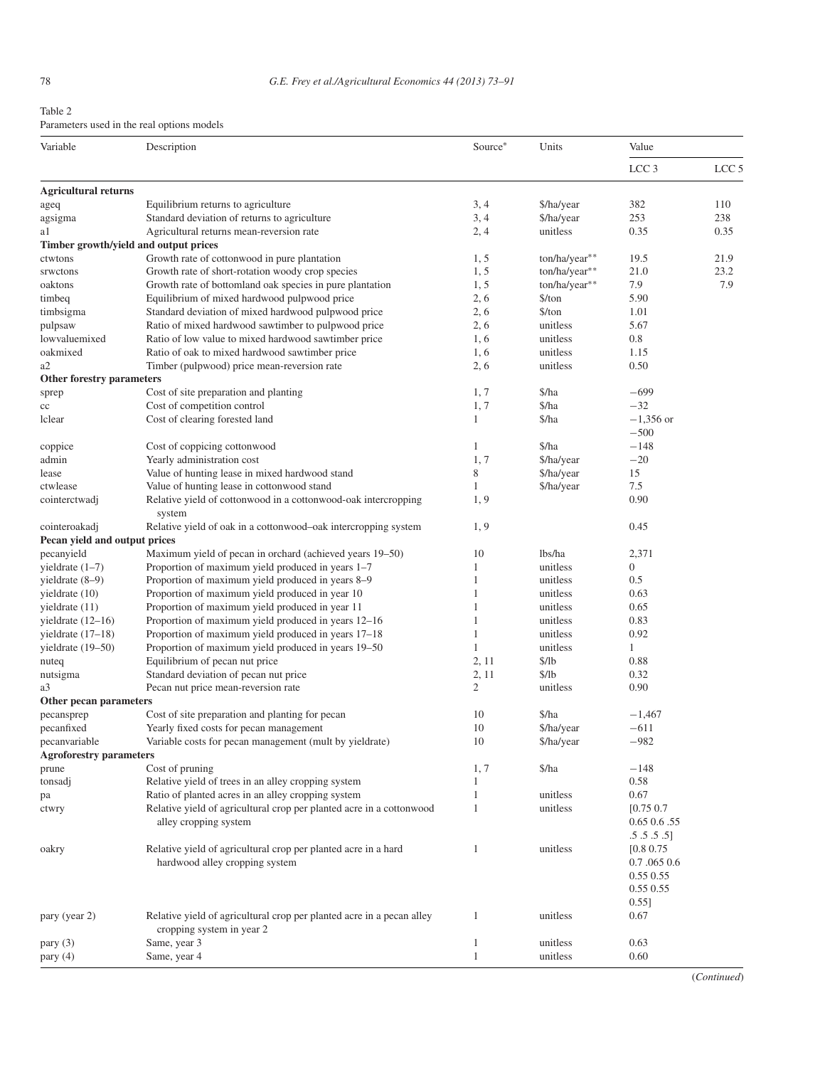# 78 *G.E. Frey et al./Agricultural Economics 44 (2013) 73–91*

#### Table 2 Parameters used in the real options models

| I arameters used in the real options moders |  |  |  |  |
|---------------------------------------------|--|--|--|--|
|                                             |  |  |  |  |

| Variable<br>Description                                                                                             | Source*      | Units                         | Value                                                  |                  |
|---------------------------------------------------------------------------------------------------------------------|--------------|-------------------------------|--------------------------------------------------------|------------------|
|                                                                                                                     |              |                               | LCC <sub>3</sub>                                       | LCC <sub>5</sub> |
| <b>Agricultural returns</b>                                                                                         |              |                               |                                                        |                  |
| Equilibrium returns to agriculture<br>ageq                                                                          | 3, 4         | \$/ha/year                    | 382                                                    | 110              |
| Standard deviation of returns to agriculture<br>agsigma                                                             | 3, 4         | \$/ha/year                    | 253                                                    | 238              |
| a1<br>Agricultural returns mean-reversion rate                                                                      | 2,4          | unitless                      | 0.35                                                   | 0.35             |
| Timber growth/yield and output prices                                                                               |              |                               |                                                        |                  |
| Growth rate of cottonwood in pure plantation<br>ctwtons                                                             | 1, 5         | ton/ha/year**                 | 19.5                                                   | 21.9             |
| Growth rate of short-rotation woody crop species<br>srwctons                                                        | 1, 5         | ton/ha/year**                 | 21.0                                                   | 23.2             |
| Growth rate of bottomland oak species in pure plantation<br>oaktons                                                 | 1, 5         | ton/ha/year**                 | 7.9                                                    | 7.9              |
| Equilibrium of mixed hardwood pulpwood price<br>timbeq                                                              | 2, 6         | \$/ton                        | 5.90                                                   |                  |
| Standard deviation of mixed hardwood pulpwood price<br>timbsigma                                                    | 2, 6         | $\frac{\text{S}}{\text{ton}}$ | 1.01                                                   |                  |
| Ratio of mixed hardwood sawtimber to pulpwood price<br>pulpsaw                                                      | 2, 6         | unitless                      | 5.67                                                   |                  |
| lowvaluemixed<br>Ratio of low value to mixed hardwood sawtimber price                                               | 1,6          | unitless                      | 0.8                                                    |                  |
| oakmixed<br>Ratio of oak to mixed hardwood sawtimber price                                                          | 1,6          | unitless                      | 1.15                                                   |                  |
| a <sub>2</sub><br>Timber (pulpwood) price mean-reversion rate                                                       | 2, 6         | unitless                      | 0.50                                                   |                  |
| Other forestry parameters                                                                                           |              |                               |                                                        |                  |
| Cost of site preparation and planting<br>sprep                                                                      | 1, 7         | \$/ha                         | $-699$                                                 |                  |
| Cost of competition control<br>$_{\rm cc}$                                                                          | 1, 7         | \$/ha                         | $-32$                                                  |                  |
| Cost of clearing forested land<br>lclear                                                                            | 1            | \$/ha                         | $-1,356$ or                                            |                  |
|                                                                                                                     |              |                               | $-500$                                                 |                  |
| Cost of coppicing cottonwood<br>coppice                                                                             | 1            | \$/ha                         | $-148$                                                 |                  |
| admin<br>Yearly administration cost                                                                                 | 1, 7         | \$/ha/year                    | $-20$                                                  |                  |
| Value of hunting lease in mixed hardwood stand<br>lease                                                             | 8            | \$/ha/year                    | 15                                                     |                  |
| Value of hunting lease in cottonwood stand<br>ctwlease                                                              | 1            | \$/ha/year                    | 7.5                                                    |                  |
| Relative yield of cottonwood in a cottonwood-oak intercropping<br>cointerctwadj<br>system                           | 1, 9         |                               | 0.90                                                   |                  |
| cointeroakadi<br>Relative yield of oak in a cottonwood-oak intercropping system                                     | 1, 9         |                               | 0.45                                                   |                  |
| Pecan yield and output prices                                                                                       |              |                               |                                                        |                  |
| Maximum yield of pecan in orchard (achieved years 19–50)<br>pecanyield                                              | 10           | lbs/ha                        | 2,371                                                  |                  |
| Proportion of maximum yield produced in years 1-7<br>yieldrate $(1-7)$                                              | 1            | unitless                      | 0                                                      |                  |
| Proportion of maximum yield produced in years 8-9<br>yieldrate $(8-9)$                                              | 1            | unitless                      | 0.5                                                    |                  |
| Proportion of maximum yield produced in year 10<br>yieldrate (10)                                                   | 1            | unitless                      | 0.63                                                   |                  |
| Proportion of maximum yield produced in year 11<br>yieldrate (11)                                                   | 1            | unitless                      | 0.65                                                   |                  |
| Proportion of maximum yield produced in years 12-16<br>yieldrate $(12-16)$                                          | 1            | unitless                      | 0.83                                                   |                  |
| Proportion of maximum yield produced in years 17-18<br>yieldrate $(17-18)$                                          | 1            | unitless                      | 0.92                                                   |                  |
| Proportion of maximum yield produced in years 19–50<br>yieldrate $(19-50)$                                          | 1            | unitless                      | 1                                                      |                  |
| Equilibrium of pecan nut price<br>nuteq                                                                             | 2, 11        | $$$ /lb                       | 0.88                                                   |                  |
| Standard deviation of pecan nut price<br>nutsigma                                                                   | 2, 11        | \$/lb                         | 0.32                                                   |                  |
| a3<br>Pecan nut price mean-reversion rate                                                                           | 2            | unitless                      | 0.90                                                   |                  |
| Other pecan parameters                                                                                              |              |                               |                                                        |                  |
| Cost of site preparation and planting for pecan<br>pecansprep                                                       | 10           | \$/ha                         | $-1,467$                                               |                  |
| pecanfixed<br>Yearly fixed costs for pecan management                                                               | 10           | \$/ha/year                    | $-611$                                                 |                  |
| pecanvariable<br>Variable costs for pecan management (mult by yieldrate)                                            | $10\,$       | \$/ha/year                    | $-982$                                                 |                  |
| <b>Agroforestry parameters</b>                                                                                      |              |                               |                                                        |                  |
| Cost of pruning<br>prune                                                                                            | 1, 7         | \$/ha                         | $-148$                                                 |                  |
| Relative yield of trees in an alley cropping system<br>tonsadj                                                      | 1            |                               | 0.58                                                   |                  |
| Ratio of planted acres in an alley cropping system<br>pa                                                            | 1            | unitless                      | 0.67                                                   |                  |
| Relative yield of agricultural crop per planted acre in a cottonwood<br>ctwry                                       | 1            | unitless                      | [0.75 0.7]                                             |                  |
| alley cropping system                                                                                               |              |                               | $0.65\,0.6.55$<br>.5.5.5.5]                            |                  |
| Relative yield of agricultural crop per planted acre in a hard<br>oakry<br>hardwood alley cropping system           | 1            | unitless                      | $[0.8 \ 0.75]$<br>0.7.0650.6<br>0.55 0.55<br>0.55 0.55 |                  |
| Relative yield of agricultural crop per planted acre in a pecan alley<br>pary (year 2)<br>cropping system in year 2 | $\mathbf{1}$ | unitless                      | 0.55]<br>0.67                                          |                  |
| Same, year 3<br>pary $(3)$                                                                                          | $\mathbf{1}$ | unitless                      | 0.63                                                   |                  |
| Same, year 4<br>pary $(4)$                                                                                          | $\mathbf{1}$ | unitless                      | 0.60                                                   |                  |

(*Continued*)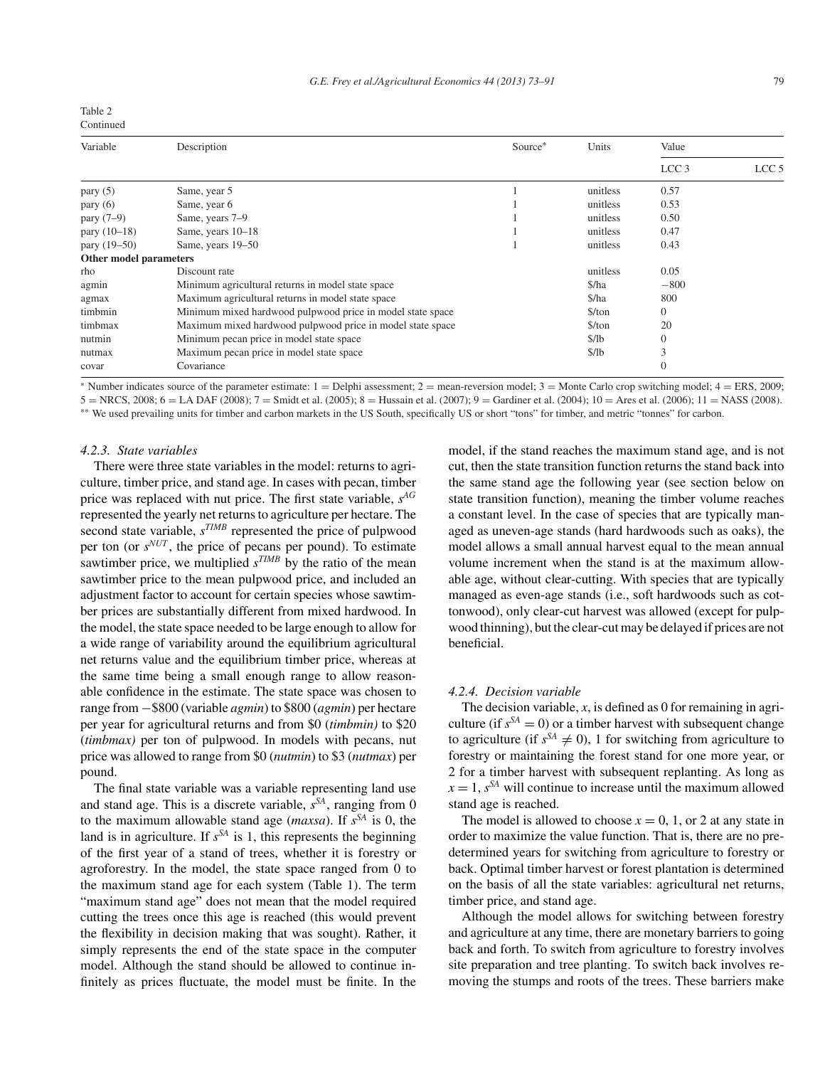| G.E. Frey et al./Agricultural Economics 44 (2013) 73–91 |  |
|---------------------------------------------------------|--|
|                                                         |  |

| <b>Lable</b> |
|--------------|
| mfinile      |

| Variable               | Description                                                | Source* | Units                         | Value            |                  |
|------------------------|------------------------------------------------------------|---------|-------------------------------|------------------|------------------|
|                        |                                                            |         |                               | LCC <sub>3</sub> | LCC <sub>5</sub> |
| pary $(5)$             | Same, year 5                                               |         | unitless                      | 0.57             |                  |
| pary $(6)$             | Same, year 6                                               |         | unitless                      | 0.53             |                  |
| pary $(7-9)$           | Same, years 7-9                                            |         | unitless                      | 0.50             |                  |
| pary $(10-18)$         | Same, years 10–18                                          |         | unitless                      | 0.47             |                  |
| pary (19-50)           | Same, years 19–50                                          |         | unitless                      | 0.43             |                  |
| Other model parameters |                                                            |         |                               |                  |                  |
| rho                    | Discount rate                                              |         | unitless                      | 0.05             |                  |
| agmin                  | Minimum agricultural returns in model state space          |         | \$/ha                         | $-800$           |                  |
| agmax                  | Maximum agricultural returns in model state space          |         | \$/ha                         | 800              |                  |
| timbmin                | Minimum mixed hardwood pulpwood price in model state space |         | $\frac{\text{S}}{\text{top}}$ | $\theta$         |                  |
| timbmax                | Maximum mixed hardwood pulpwood price in model state space |         | \$/ton                        | 20               |                  |
| nutmin                 | Minimum pecan price in model state space                   | $$$ /lb | $\overline{0}$                |                  |                  |
| nutmax                 | Maximum pecan price in model state space                   |         | $$$ /lb                       | 3                |                  |
| covar                  | Covariance                                                 |         |                               | $\overline{0}$   |                  |

 $*$  Number indicates source of the parameter estimate:  $1 =$  Delphi assessment;  $2 =$  mean-reversion model;  $3 =$  Monte Carlo crop switching model;  $4 =$  ERS, 2009; 5 = NRCS, 2008; 6 = LA DAF (2008); 7 = Smidt et al. (2005); 8 = Hussain et al. (2007); 9 = Gardiner et al. (2004); 10 = Ares et al. (2006); 11 = NASS (2008). ∗∗ We used prevailing units for timber and carbon markets in the US South, specifically US or short "tons" for timber, and metric "tonnes" for carbon.

# *4.2.3. State variables*

There were three state variables in the model: returns to agriculture, timber price, and stand age. In cases with pecan, timber price was replaced with nut price. The first state variable, *sAG* represented the yearly net returns to agriculture per hectare. The second state variable,  $s^{TIMB}$  represented the price of pulpwood per ton (or *sNUT* , the price of pecans per pound). To estimate sawtimber price, we multiplied *sTIMB* by the ratio of the mean sawtimber price to the mean pulpwood price, and included an adjustment factor to account for certain species whose sawtimber prices are substantially different from mixed hardwood. In the model, the state space needed to be large enough to allow for a wide range of variability around the equilibrium agricultural net returns value and the equilibrium timber price, whereas at the same time being a small enough range to allow reasonable confidence in the estimate. The state space was chosen to range from −\$800 (variable *agmin*) to \$800 (*agmin*) per hectare per year for agricultural returns and from \$0 (*timbmin)* to \$20 (*timbmax)* per ton of pulpwood. In models with pecans, nut price was allowed to range from \$0 (*nutmin*) to \$3 (*nutmax*) per pound.

The final state variable was a variable representing land use and stand age. This is a discrete variable, *sSA*, ranging from 0 to the maximum allowable stand age (*maxsa*). If *sSA* is 0, the land is in agriculture. If  $s^{SA}$  is 1, this represents the beginning of the first year of a stand of trees, whether it is forestry or agroforestry. In the model, the state space ranged from 0 to the maximum stand age for each system (Table 1). The term "maximum stand age" does not mean that the model required cutting the trees once this age is reached (this would prevent the flexibility in decision making that was sought). Rather, it simply represents the end of the state space in the computer model. Although the stand should be allowed to continue infinitely as prices fluctuate, the model must be finite. In the

model, if the stand reaches the maximum stand age, and is not cut, then the state transition function returns the stand back into the same stand age the following year (see section below on state transition function), meaning the timber volume reaches a constant level. In the case of species that are typically managed as uneven-age stands (hard hardwoods such as oaks), the model allows a small annual harvest equal to the mean annual volume increment when the stand is at the maximum allowable age, without clear-cutting. With species that are typically managed as even-age stands (i.e., soft hardwoods such as cottonwood), only clear-cut harvest was allowed (except for pulpwood thinning), but the clear-cut may be delayed if prices are not beneficial.

# *4.2.4. Decision variable*

The decision variable,  $x$ , is defined as 0 for remaining in agriculture (if  $s^{SA} = 0$ ) or a timber harvest with subsequent change to agriculture (if  $s^{SA} \neq 0$ ), 1 for switching from agriculture to forestry or maintaining the forest stand for one more year, or 2 for a timber harvest with subsequent replanting. As long as  $x = 1$ ,  $s^{SA}$  will continue to increase until the maximum allowed stand age is reached.

The model is allowed to choose  $x = 0, 1$ , or 2 at any state in order to maximize the value function. That is, there are no predetermined years for switching from agriculture to forestry or back. Optimal timber harvest or forest plantation is determined on the basis of all the state variables: agricultural net returns, timber price, and stand age.

Although the model allows for switching between forestry and agriculture at any time, there are monetary barriers to going back and forth. To switch from agriculture to forestry involves site preparation and tree planting. To switch back involves removing the stumps and roots of the trees. These barriers make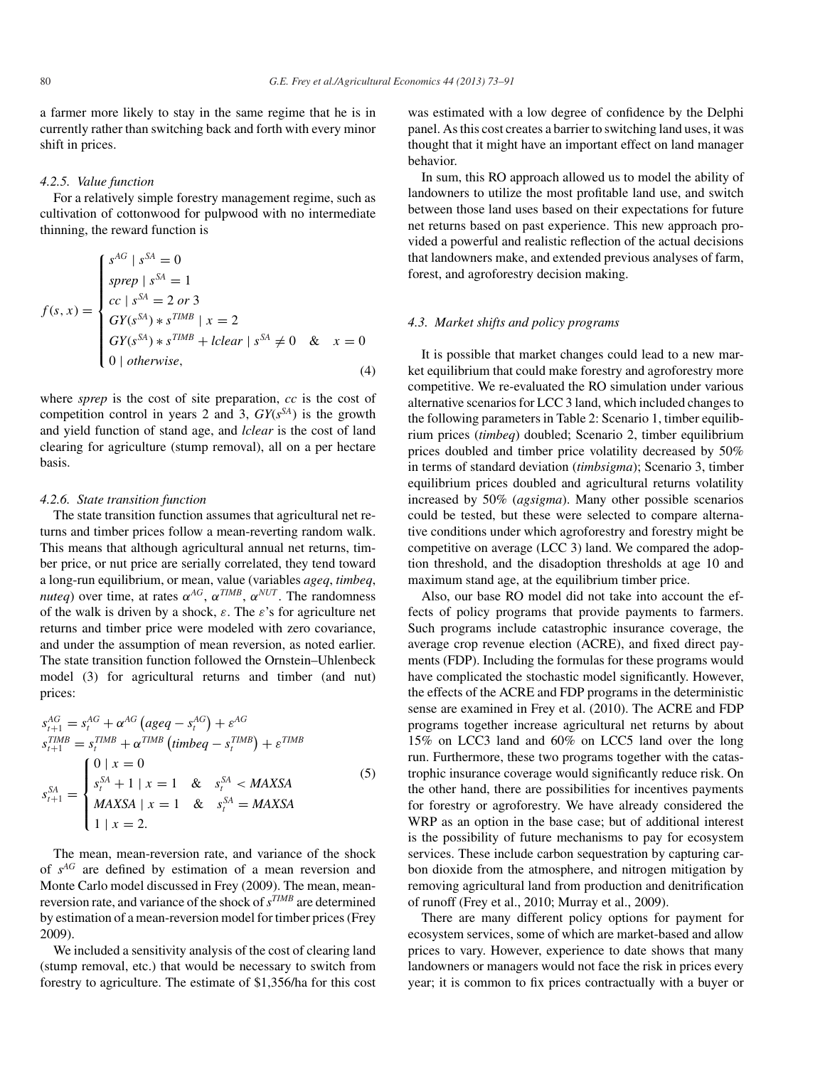a farmer more likely to stay in the same regime that he is in currently rather than switching back and forth with every minor shift in prices.

#### *4.2.5. Value function*

For a relatively simple forestry management regime, such as cultivation of cottonwood for pulpwood with no intermediate thinning, the reward function is

$$
f(s, x) = \begin{cases} s^{AG} \mid s^{SA} = 0\\ \text{sprep} \mid s^{SA} = 1\\ cc \mid s^{SA} = 2 \text{ or } 3\\ GY(s^{SA}) * s^{TIME} \mid x = 2\\ GY(s^{SA}) * s^{TIME} + \text{lclear} \mid s^{SA} \neq 0 \quad & x = 0\\ 0 \mid \text{otherwise}, \end{cases}
$$
(4)

where *sprep* is the cost of site preparation, *cc* is the cost of competition control in years 2 and 3,  $GY(s^{SA})$  is the growth and yield function of stand age, and *lclear* is the cost of land clearing for agriculture (stump removal), all on a per hectare basis.

#### *4.2.6. State transition function*

The state transition function assumes that agricultural net returns and timber prices follow a mean-reverting random walk. This means that although agricultural annual net returns, timber price, or nut price are serially correlated, they tend toward a long-run equilibrium, or mean, value (variables *ageq*, *timbeq*, *nuteq*) over time, at rates  $\alpha^{AG}$ ,  $\alpha^{TIMB}$ ,  $\alpha^{NUT}$ . The randomness of the walk is driven by a shock,  $\varepsilon$ . The  $\varepsilon$ 's for agriculture net returns and timber price were modeled with zero covariance, and under the assumption of mean reversion, as noted earlier. The state transition function followed the Ornstein–Uhlenbeck model (3) for agricultural returns and timber (and nut) prices:

$$
s_{t+1}^{AG} = s_t^{AG} + \alpha^{AG} (ageq - s_t^{AG}) + \varepsilon^{AG}
$$
  
\n
$$
s_{t+1}^{TIME} = s_t^{TIME} + \alpha^{TIME} (timbeq - s_t^{TIME}) + \varepsilon^{TIME}
$$
  
\n
$$
s_{t+1}^{SA} = \begin{cases} 0 \mid x = 0 \\ s_t^{SA} + 1 \mid x = 1 & \& s_t^{SA} < MAXSA \\ MAXSA \mid x = 1 & \& s_t^{SA} = MAXSA \\ 1 \mid x = 2. \end{cases} \tag{5}
$$

The mean, mean-reversion rate, and variance of the shock of *sAG* are defined by estimation of a mean reversion and Monte Carlo model discussed in Frey (2009). The mean, meanreversion rate, and variance of the shock of*sTIMB* are determined by estimation of a mean-reversion model for timber prices (Frey 2009).

We included a sensitivity analysis of the cost of clearing land (stump removal, etc.) that would be necessary to switch from forestry to agriculture. The estimate of \$1,356/ha for this cost

was estimated with a low degree of confidence by the Delphi panel. As this cost creates a barrier to switching land uses, it was thought that it might have an important effect on land manager behavior.

In sum, this RO approach allowed us to model the ability of landowners to utilize the most profitable land use, and switch between those land uses based on their expectations for future net returns based on past experience. This new approach provided a powerful and realistic reflection of the actual decisions that landowners make, and extended previous analyses of farm, forest, and agroforestry decision making.

#### *4.3. Market shifts and policy programs*

It is possible that market changes could lead to a new market equilibrium that could make forestry and agroforestry more competitive. We re-evaluated the RO simulation under various alternative scenarios for LCC 3 land, which included changes to the following parameters in Table 2: Scenario 1, timber equilibrium prices (*timbeq*) doubled; Scenario 2, timber equilibrium prices doubled and timber price volatility decreased by 50% in terms of standard deviation (*timbsigma*); Scenario 3, timber equilibrium prices doubled and agricultural returns volatility increased by 50% (*agsigma*). Many other possible scenarios could be tested, but these were selected to compare alternative conditions under which agroforestry and forestry might be competitive on average (LCC 3) land. We compared the adoption threshold, and the disadoption thresholds at age 10 and maximum stand age, at the equilibrium timber price.

Also, our base RO model did not take into account the effects of policy programs that provide payments to farmers. Such programs include catastrophic insurance coverage, the average crop revenue election (ACRE), and fixed direct payments (FDP). Including the formulas for these programs would have complicated the stochastic model significantly. However, the effects of the ACRE and FDP programs in the deterministic sense are examined in Frey et al. (2010). The ACRE and FDP programs together increase agricultural net returns by about 15% on LCC3 land and 60% on LCC5 land over the long run. Furthermore, these two programs together with the catastrophic insurance coverage would significantly reduce risk. On the other hand, there are possibilities for incentives payments for forestry or agroforestry. We have already considered the WRP as an option in the base case; but of additional interest is the possibility of future mechanisms to pay for ecosystem services. These include carbon sequestration by capturing carbon dioxide from the atmosphere, and nitrogen mitigation by removing agricultural land from production and denitrification of runoff (Frey et al., 2010; Murray et al., 2009).

There are many different policy options for payment for ecosystem services, some of which are market-based and allow prices to vary. However, experience to date shows that many landowners or managers would not face the risk in prices every year; it is common to fix prices contractually with a buyer or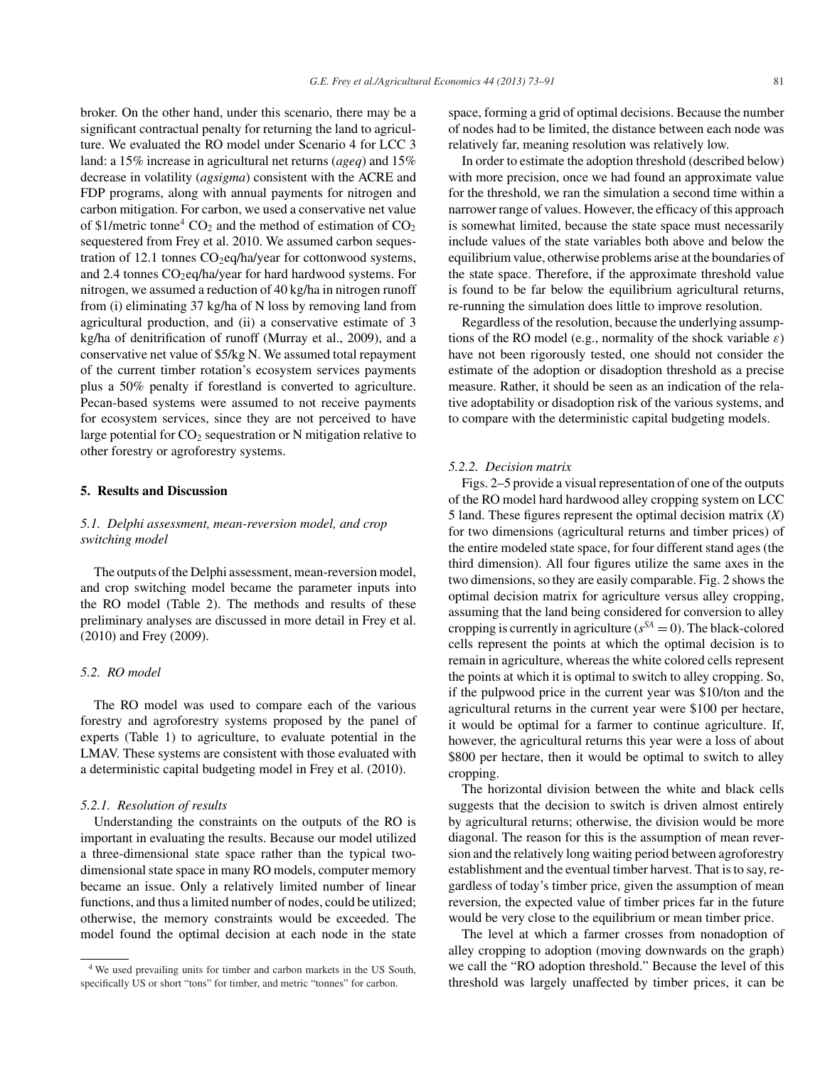broker. On the other hand, under this scenario, there may be a significant contractual penalty for returning the land to agriculture. We evaluated the RO model under Scenario 4 for LCC 3 land: a 15% increase in agricultural net returns (*ageq*) and 15% decrease in volatility (*agsigma*) consistent with the ACRE and FDP programs, along with annual payments for nitrogen and carbon mitigation. For carbon, we used a conservative net value of \$1/metric tonne<sup>4</sup> CO<sub>2</sub> and the method of estimation of CO<sub>2</sub> sequestered from Frey et al. 2010. We assumed carbon sequestration of 12.1 tonnes  $CO<sub>2</sub>$ eq/ha/year for cottonwood systems, and 2.4 tonnes  $CO_2$ eq/ha/year for hard hardwood systems. For nitrogen, we assumed a reduction of 40 kg/ha in nitrogen runoff from (i) eliminating 37 kg/ha of N loss by removing land from agricultural production, and (ii) a conservative estimate of 3 kg/ha of denitrification of runoff (Murray et al., 2009), and a conservative net value of \$5/kg N. We assumed total repayment of the current timber rotation's ecosystem services payments plus a 50% penalty if forestland is converted to agriculture. Pecan-based systems were assumed to not receive payments for ecosystem services, since they are not perceived to have large potential for  $CO<sub>2</sub>$  sequestration or N mitigation relative to other forestry or agroforestry systems.

# **5. Results and Discussion**

# *5.1. Delphi assessment, mean-reversion model, and crop switching model*

The outputs of the Delphi assessment, mean-reversion model, and crop switching model became the parameter inputs into the RO model (Table 2). The methods and results of these preliminary analyses are discussed in more detail in Frey et al. (2010) and Frey (2009).

# *5.2. RO model*

The RO model was used to compare each of the various forestry and agroforestry systems proposed by the panel of experts (Table 1) to agriculture, to evaluate potential in the LMAV. These systems are consistent with those evaluated with a deterministic capital budgeting model in Frey et al. (2010).

### *5.2.1. Resolution of results*

Understanding the constraints on the outputs of the RO is important in evaluating the results. Because our model utilized a three-dimensional state space rather than the typical twodimensional state space in many RO models, computer memory became an issue. Only a relatively limited number of linear functions, and thus a limited number of nodes, could be utilized; otherwise, the memory constraints would be exceeded. The model found the optimal decision at each node in the state space, forming a grid of optimal decisions. Because the number of nodes had to be limited, the distance between each node was relatively far, meaning resolution was relatively low.

In order to estimate the adoption threshold (described below) with more precision, once we had found an approximate value for the threshold, we ran the simulation a second time within a narrower range of values. However, the efficacy of this approach is somewhat limited, because the state space must necessarily include values of the state variables both above and below the equilibrium value, otherwise problems arise at the boundaries of the state space. Therefore, if the approximate threshold value is found to be far below the equilibrium agricultural returns, re-running the simulation does little to improve resolution.

Regardless of the resolution, because the underlying assumptions of the RO model (e.g., normality of the shock variable  $\varepsilon$ ) have not been rigorously tested, one should not consider the estimate of the adoption or disadoption threshold as a precise measure. Rather, it should be seen as an indication of the relative adoptability or disadoption risk of the various systems, and to compare with the deterministic capital budgeting models.

# *5.2.2. Decision matrix*

Figs. 2–5 provide a visual representation of one of the outputs of the RO model hard hardwood alley cropping system on LCC 5 land. These figures represent the optimal decision matrix (*X*) for two dimensions (agricultural returns and timber prices) of the entire modeled state space, for four different stand ages (the third dimension). All four figures utilize the same axes in the two dimensions, so they are easily comparable. Fig. 2 shows the optimal decision matrix for agriculture versus alley cropping, assuming that the land being considered for conversion to alley cropping is currently in agriculture ( $s^{SA} = 0$ ). The black-colored cells represent the points at which the optimal decision is to remain in agriculture, whereas the white colored cells represent the points at which it is optimal to switch to alley cropping. So, if the pulpwood price in the current year was \$10/ton and the agricultural returns in the current year were \$100 per hectare, it would be optimal for a farmer to continue agriculture. If, however, the agricultural returns this year were a loss of about \$800 per hectare, then it would be optimal to switch to alley cropping.

The horizontal division between the white and black cells suggests that the decision to switch is driven almost entirely by agricultural returns; otherwise, the division would be more diagonal. The reason for this is the assumption of mean reversion and the relatively long waiting period between agroforestry establishment and the eventual timber harvest. That is to say, regardless of today's timber price, given the assumption of mean reversion, the expected value of timber prices far in the future would be very close to the equilibrium or mean timber price.

The level at which a farmer crosses from nonadoption of alley cropping to adoption (moving downwards on the graph) we call the "RO adoption threshold." Because the level of this threshold was largely unaffected by timber prices, it can be

<sup>4</sup> We used prevailing units for timber and carbon markets in the US South, specifically US or short "tons" for timber, and metric "tonnes" for carbon.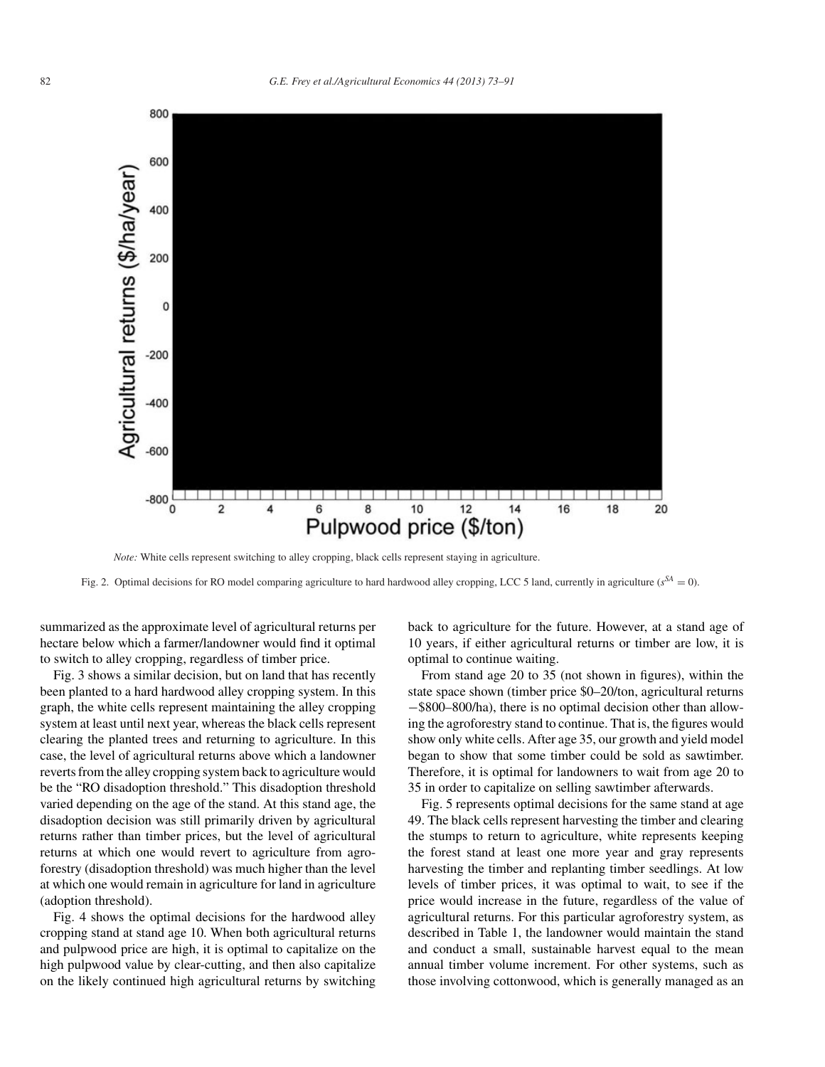

*Note:* White cells represent switching to alley cropping, black cells represent staying in agriculture.

Fig. 2. Optimal decisions for RO model comparing agriculture to hard hardwood alley cropping, LCC 5 land, currently in agriculture (*sSA* = 0).

summarized as the approximate level of agricultural returns per hectare below which a farmer/landowner would find it optimal to switch to alley cropping, regardless of timber price.

Fig. 3 shows a similar decision, but on land that has recently been planted to a hard hardwood alley cropping system. In this graph, the white cells represent maintaining the alley cropping system at least until next year, whereas the black cells represent clearing the planted trees and returning to agriculture. In this case, the level of agricultural returns above which a landowner reverts from the alley cropping system back to agriculture would be the "RO disadoption threshold." This disadoption threshold varied depending on the age of the stand. At this stand age, the disadoption decision was still primarily driven by agricultural returns rather than timber prices, but the level of agricultural returns at which one would revert to agriculture from agroforestry (disadoption threshold) was much higher than the level at which one would remain in agriculture for land in agriculture (adoption threshold).

Fig. 4 shows the optimal decisions for the hardwood alley cropping stand at stand age 10. When both agricultural returns and pulpwood price are high, it is optimal to capitalize on the high pulpwood value by clear-cutting, and then also capitalize on the likely continued high agricultural returns by switching back to agriculture for the future. However, at a stand age of 10 years, if either agricultural returns or timber are low, it is optimal to continue waiting.

From stand age 20 to 35 (not shown in figures), within the state space shown (timber price \$0–20/ton, agricultural returns −\$800–800/ha), there is no optimal decision other than allowing the agroforestry stand to continue. That is, the figures would show only white cells. After age 35, our growth and yield model began to show that some timber could be sold as sawtimber. Therefore, it is optimal for landowners to wait from age 20 to 35 in order to capitalize on selling sawtimber afterwards.

Fig. 5 represents optimal decisions for the same stand at age 49. The black cells represent harvesting the timber and clearing the stumps to return to agriculture, white represents keeping the forest stand at least one more year and gray represents harvesting the timber and replanting timber seedlings. At low levels of timber prices, it was optimal to wait, to see if the price would increase in the future, regardless of the value of agricultural returns. For this particular agroforestry system, as described in Table 1, the landowner would maintain the stand and conduct a small, sustainable harvest equal to the mean annual timber volume increment. For other systems, such as those involving cottonwood, which is generally managed as an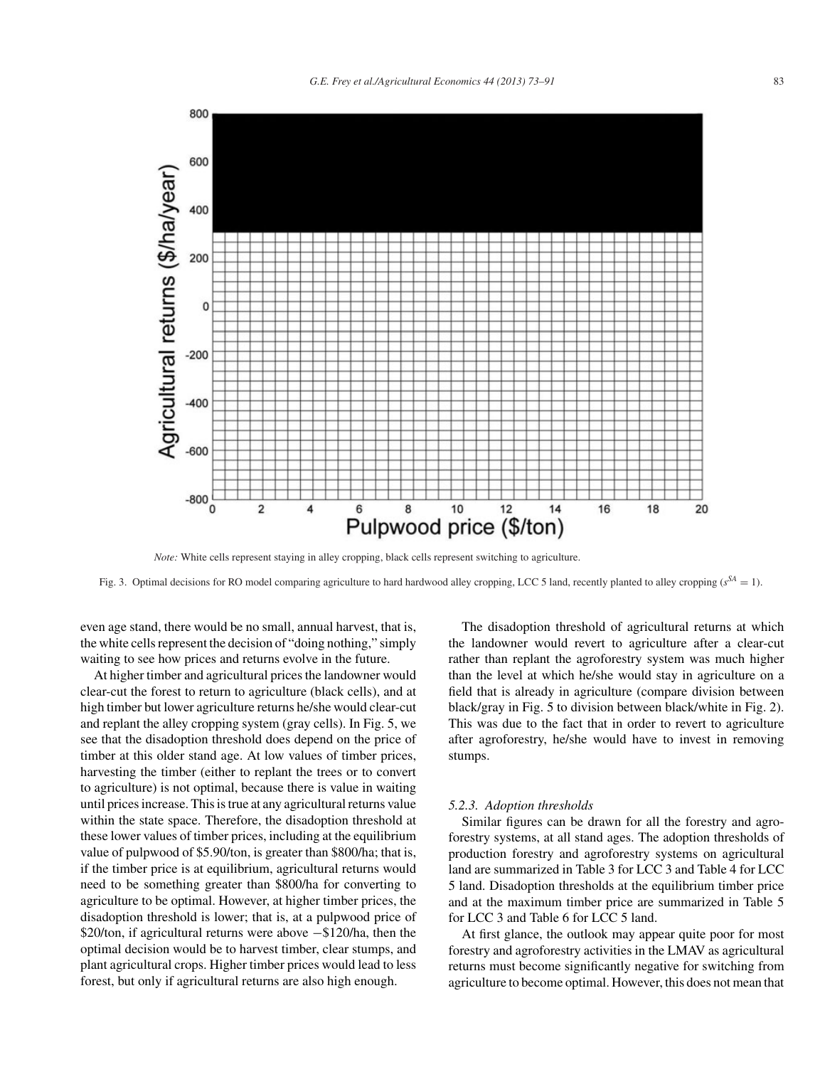

*Note:* White cells represent staying in alley cropping, black cells represent switching to agriculture.

Fig. 3. Optimal decisions for RO model comparing agriculture to hard hardwood alley cropping, LCC 5 land, recently planted to alley cropping (*sSA* = 1).

even age stand, there would be no small, annual harvest, that is, the white cells represent the decision of "doing nothing," simply waiting to see how prices and returns evolve in the future.

At higher timber and agricultural prices the landowner would clear-cut the forest to return to agriculture (black cells), and at high timber but lower agriculture returns he/she would clear-cut and replant the alley cropping system (gray cells). In Fig. 5, we see that the disadoption threshold does depend on the price of timber at this older stand age. At low values of timber prices, harvesting the timber (either to replant the trees or to convert to agriculture) is not optimal, because there is value in waiting until prices increase. This is true at any agricultural returns value within the state space. Therefore, the disadoption threshold at these lower values of timber prices, including at the equilibrium value of pulpwood of \$5.90/ton, is greater than \$800/ha; that is, if the timber price is at equilibrium, agricultural returns would need to be something greater than \$800/ha for converting to agriculture to be optimal. However, at higher timber prices, the disadoption threshold is lower; that is, at a pulpwood price of \$20/ton, if agricultural returns were above −\$120/ha, then the optimal decision would be to harvest timber, clear stumps, and plant agricultural crops. Higher timber prices would lead to less forest, but only if agricultural returns are also high enough.

The disadoption threshold of agricultural returns at which the landowner would revert to agriculture after a clear-cut rather than replant the agroforestry system was much higher than the level at which he/she would stay in agriculture on a field that is already in agriculture (compare division between black/gray in Fig. 5 to division between black/white in Fig. 2). This was due to the fact that in order to revert to agriculture after agroforestry, he/she would have to invest in removing stumps.

#### *5.2.3. Adoption thresholds*

Similar figures can be drawn for all the forestry and agroforestry systems, at all stand ages. The adoption thresholds of production forestry and agroforestry systems on agricultural land are summarized in Table 3 for LCC 3 and Table 4 for LCC 5 land. Disadoption thresholds at the equilibrium timber price and at the maximum timber price are summarized in Table 5 for LCC 3 and Table 6 for LCC 5 land.

At first glance, the outlook may appear quite poor for most forestry and agroforestry activities in the LMAV as agricultural returns must become significantly negative for switching from agriculture to become optimal. However, this does not mean that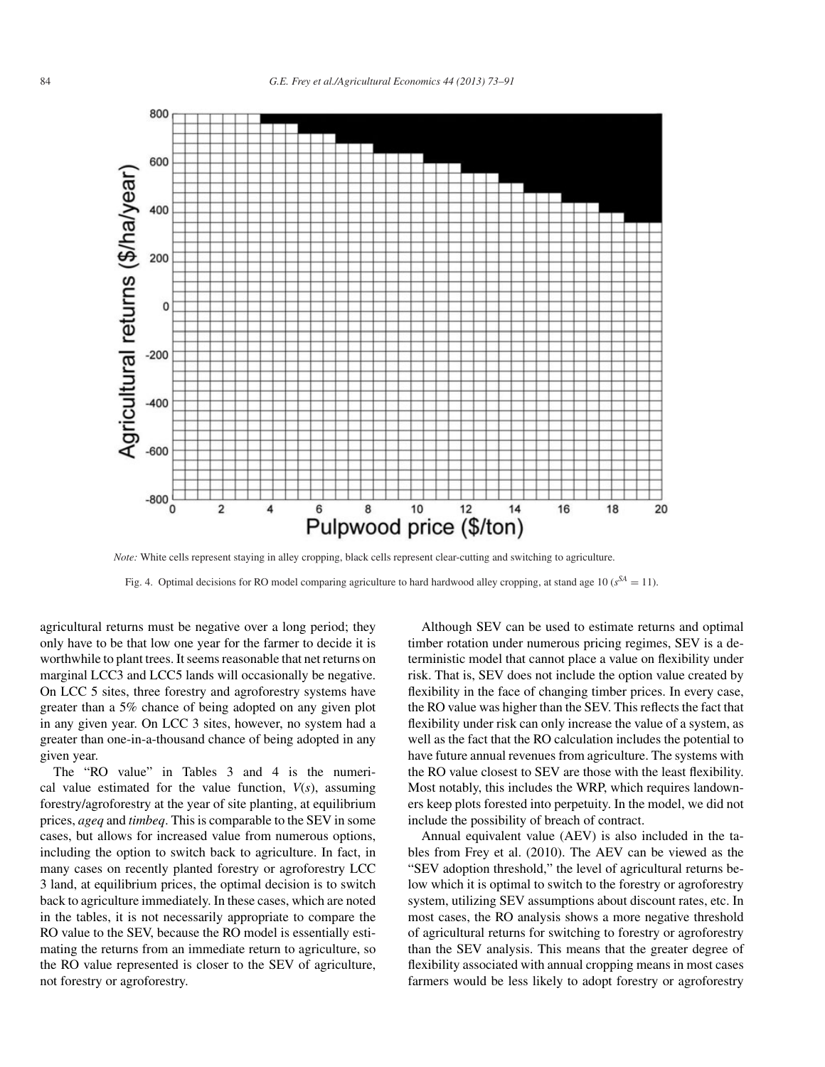

*Note:* White cells represent staying in alley cropping, black cells represent clear-cutting and switching to agriculture.

Fig. 4. Optimal decisions for RO model comparing agriculture to hard hardwood alley cropping, at stand age 10 ( $s<sup>SA</sup> = 11$ ).

agricultural returns must be negative over a long period; they only have to be that low one year for the farmer to decide it is worthwhile to plant trees. It seems reasonable that net returns on marginal LCC3 and LCC5 lands will occasionally be negative. On LCC 5 sites, three forestry and agroforestry systems have greater than a 5% chance of being adopted on any given plot in any given year. On LCC 3 sites, however, no system had a greater than one-in-a-thousand chance of being adopted in any given year.

The "RO value" in Tables 3 and 4 is the numerical value estimated for the value function,  $V(s)$ , assuming forestry/agroforestry at the year of site planting, at equilibrium prices, *ageq* and *timbeq*. This is comparable to the SEV in some cases, but allows for increased value from numerous options, including the option to switch back to agriculture. In fact, in many cases on recently planted forestry or agroforestry LCC 3 land, at equilibrium prices, the optimal decision is to switch back to agriculture immediately. In these cases, which are noted in the tables, it is not necessarily appropriate to compare the RO value to the SEV, because the RO model is essentially estimating the returns from an immediate return to agriculture, so the RO value represented is closer to the SEV of agriculture, not forestry or agroforestry.

Although SEV can be used to estimate returns and optimal timber rotation under numerous pricing regimes, SEV is a deterministic model that cannot place a value on flexibility under risk. That is, SEV does not include the option value created by flexibility in the face of changing timber prices. In every case, the RO value was higher than the SEV. This reflects the fact that flexibility under risk can only increase the value of a system, as well as the fact that the RO calculation includes the potential to have future annual revenues from agriculture. The systems with the RO value closest to SEV are those with the least flexibility. Most notably, this includes the WRP, which requires landowners keep plots forested into perpetuity. In the model, we did not include the possibility of breach of contract.

Annual equivalent value (AEV) is also included in the tables from Frey et al. (2010). The AEV can be viewed as the "SEV adoption threshold," the level of agricultural returns below which it is optimal to switch to the forestry or agroforestry system, utilizing SEV assumptions about discount rates, etc. In most cases, the RO analysis shows a more negative threshold of agricultural returns for switching to forestry or agroforestry than the SEV analysis. This means that the greater degree of flexibility associated with annual cropping means in most cases farmers would be less likely to adopt forestry or agroforestry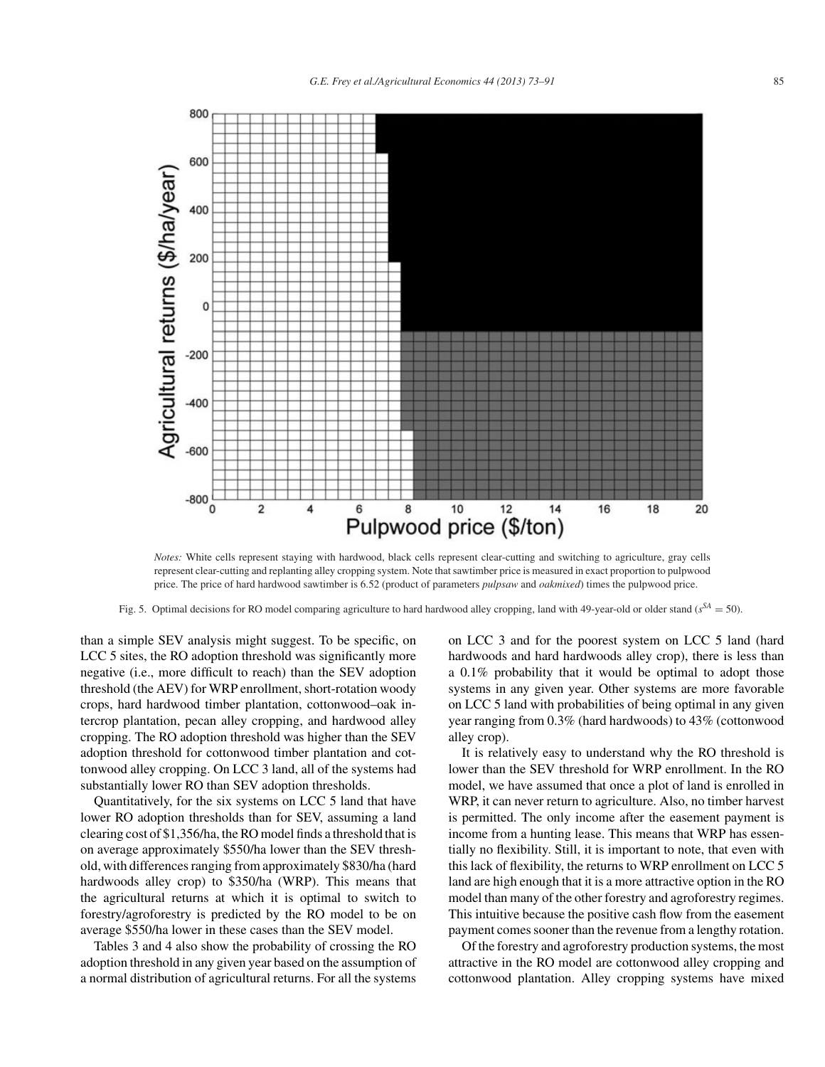

*Notes:* White cells represent staying with hardwood, black cells represent clear-cutting and switching to agriculture, gray cells represent clear-cutting and replanting alley cropping system. Note that sawtimber price is measured in exact proportion to pulpwood price. The price of hard hardwood sawtimber is 6.52 (product of parameters *pulpsaw* and *oakmixed*) times the pulpwood price.

Fig. 5. Optimal decisions for RO model comparing agriculture to hard hardwood alley cropping, land with 49-year-old or older stand (*s*<sup>SA</sup> = 50).

than a simple SEV analysis might suggest. To be specific, on LCC 5 sites, the RO adoption threshold was significantly more negative (i.e., more difficult to reach) than the SEV adoption threshold (the AEV) for WRP enrollment, short-rotation woody crops, hard hardwood timber plantation, cottonwood–oak intercrop plantation, pecan alley cropping, and hardwood alley cropping. The RO adoption threshold was higher than the SEV adoption threshold for cottonwood timber plantation and cottonwood alley cropping. On LCC 3 land, all of the systems had substantially lower RO than SEV adoption thresholds.

Quantitatively, for the six systems on LCC 5 land that have lower RO adoption thresholds than for SEV, assuming a land clearing cost of \$1,356/ha, the RO model finds a threshold that is on average approximately \$550/ha lower than the SEV threshold, with differences ranging from approximately \$830/ha (hard hardwoods alley crop) to \$350/ha (WRP). This means that the agricultural returns at which it is optimal to switch to forestry/agroforestry is predicted by the RO model to be on average \$550/ha lower in these cases than the SEV model.

Tables 3 and 4 also show the probability of crossing the RO adoption threshold in any given year based on the assumption of a normal distribution of agricultural returns. For all the systems

on LCC 3 and for the poorest system on LCC 5 land (hard hardwoods and hard hardwoods alley crop), there is less than a 0.1% probability that it would be optimal to adopt those systems in any given year. Other systems are more favorable on LCC 5 land with probabilities of being optimal in any given year ranging from 0.3% (hard hardwoods) to 43% (cottonwood alley crop).

It is relatively easy to understand why the RO threshold is lower than the SEV threshold for WRP enrollment. In the RO model, we have assumed that once a plot of land is enrolled in WRP, it can never return to agriculture. Also, no timber harvest is permitted. The only income after the easement payment is income from a hunting lease. This means that WRP has essentially no flexibility. Still, it is important to note, that even with this lack of flexibility, the returns to WRP enrollment on LCC 5 land are high enough that it is a more attractive option in the RO model than many of the other forestry and agroforestry regimes. This intuitive because the positive cash flow from the easement payment comes sooner than the revenue from a lengthy rotation.

Of the forestry and agroforestry production systems, the most attractive in the RO model are cottonwood alley cropping and cottonwood plantation. Alley cropping systems have mixed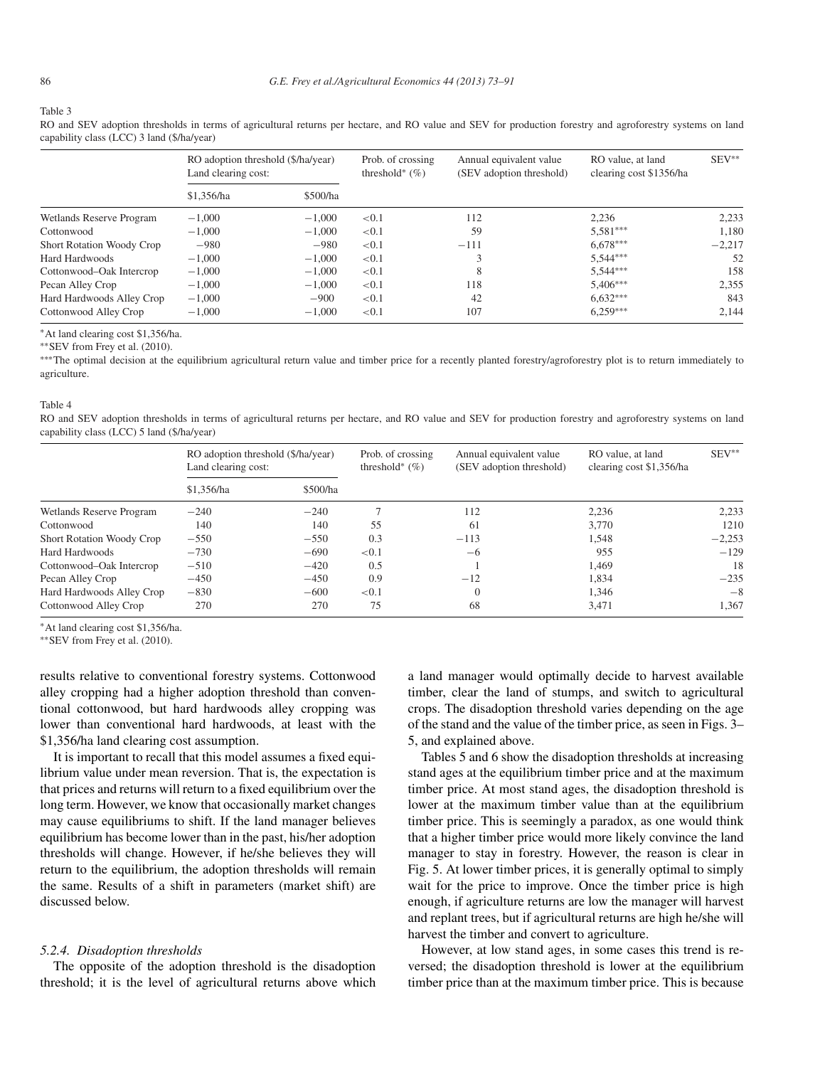#### Table 3

RO and SEV adoption thresholds in terms of agricultural returns per hectare, and RO value and SEV for production forestry and agroforestry systems on land capability class (LCC) 3 land (\$/ha/year)

|                                  | RO adoption threshold (\$/ha/year)<br>Land clearing cost:<br>threshold* $(\% )$<br>\$1,356/ha<br>\$500/ha |          | Prob. of crossing | Annual equivalent value<br>(SEV adoption threshold) | RO value, at land<br>clearing cost \$1356/ha | $SEV^{**}$ |
|----------------------------------|-----------------------------------------------------------------------------------------------------------|----------|-------------------|-----------------------------------------------------|----------------------------------------------|------------|
|                                  |                                                                                                           |          |                   |                                                     |                                              |            |
| Wetlands Reserve Program         | $-1,000$                                                                                                  | $-1,000$ | < 0.1             | 112                                                 | 2,236                                        | 2,233      |
| Cottonwood                       | $-1,000$                                                                                                  | $-1,000$ | < 0.1             | 59                                                  | $5,581***$                                   | 1,180      |
| <b>Short Rotation Woody Crop</b> | $-980$                                                                                                    | $-980$   | < 0.1             | $-111$                                              | $6.678***$                                   | $-2,217$   |
| <b>Hard Hardwoods</b>            | $-1,000$                                                                                                  | $-1,000$ | < 0.1             |                                                     | $5.544***$                                   | 52         |
| Cottonwood–Oak Intercrop         | $-1,000$                                                                                                  | $-1,000$ | < 0.1             | 8                                                   | $5.544***$                                   | 158        |
| Pecan Alley Crop                 | $-1,000$                                                                                                  | $-1,000$ | < 0.1             | 118                                                 | 5,406***                                     | 2,355      |
| Hard Hardwoods Alley Crop        | $-1,000$                                                                                                  | $-900$   | < 0.1             | 42                                                  | $6,632***$                                   | 843        |
| Cottonwood Alley Crop            | $-1,000$                                                                                                  | $-1,000$ | ${<}0.1$          | 107                                                 | $6,259***$                                   | 2,144      |

<sup>∗</sup>At land clearing cost \$1,356/ha.

∗∗SEV from Frey et al. (2010).

∗∗∗The optimal decision at the equilibrium agricultural return value and timber price for a recently planted forestry/agroforestry plot is to return immediately to agriculture.

#### Table 4

RO and SEV adoption thresholds in terms of agricultural returns per hectare, and RO value and SEV for production forestry and agroforestry systems on land capability class (LCC) 5 land (\$/ha/year)

|                                  | RO adoption threshold (\$/ha/year)<br>Land clearing cost:<br>threshold* $(\% )$<br>\$500/ha<br>\$1,356/ha |        | Prob. of crossing | Annual equivalent value<br>(SEV adoption threshold) | RO value, at land<br>clearing cost \$1,356/ha | $SEV**$  |
|----------------------------------|-----------------------------------------------------------------------------------------------------------|--------|-------------------|-----------------------------------------------------|-----------------------------------------------|----------|
|                                  |                                                                                                           |        |                   |                                                     |                                               |          |
| Wetlands Reserve Program         | $-240$                                                                                                    | $-240$ |                   | 112                                                 | 2.236                                         | 2,233    |
| Cottonwood                       | 140                                                                                                       | 140    | 55                | 61                                                  | 3.770                                         | 1210     |
| <b>Short Rotation Woody Crop</b> | $-550$                                                                                                    | $-550$ | 0.3               | $-113$                                              | 1,548                                         | $-2,253$ |
| <b>Hard Hardwoods</b>            | $-730$                                                                                                    | $-690$ | < 0.1             | $-6$                                                | 955                                           | $-129$   |
| Cottonwood–Oak Intercrop         | $-510$                                                                                                    | $-420$ | 0.5               |                                                     | 1,469                                         | 18       |
| Pecan Alley Crop                 | $-450$                                                                                                    | $-450$ | 0.9               | $-12$                                               | 1,834                                         | $-235$   |
| Hard Hardwoods Alley Crop        | $-830$                                                                                                    | $-600$ | < 0.1             | $\Omega$                                            | 1.346                                         | $-8$     |
| Cottonwood Alley Crop            | 270                                                                                                       | 270    | 75                | 68                                                  | 3,471                                         | 1,367    |

<sup>∗</sup>At land clearing cost \$1,356/ha.

∗∗SEV from Frey et al. (2010).

results relative to conventional forestry systems. Cottonwood alley cropping had a higher adoption threshold than conventional cottonwood, but hard hardwoods alley cropping was lower than conventional hard hardwoods, at least with the \$1,356/ha land clearing cost assumption.

It is important to recall that this model assumes a fixed equilibrium value under mean reversion. That is, the expectation is that prices and returns will return to a fixed equilibrium over the long term. However, we know that occasionally market changes may cause equilibriums to shift. If the land manager believes equilibrium has become lower than in the past, his/her adoption thresholds will change. However, if he/she believes they will return to the equilibrium, the adoption thresholds will remain the same. Results of a shift in parameters (market shift) are discussed below.

# *5.2.4. Disadoption thresholds*

The opposite of the adoption threshold is the disadoption threshold; it is the level of agricultural returns above which a land manager would optimally decide to harvest available timber, clear the land of stumps, and switch to agricultural crops. The disadoption threshold varies depending on the age of the stand and the value of the timber price, as seen in Figs. 3– 5, and explained above.

Tables 5 and 6 show the disadoption thresholds at increasing stand ages at the equilibrium timber price and at the maximum timber price. At most stand ages, the disadoption threshold is lower at the maximum timber value than at the equilibrium timber price. This is seemingly a paradox, as one would think that a higher timber price would more likely convince the land manager to stay in forestry. However, the reason is clear in Fig. 5. At lower timber prices, it is generally optimal to simply wait for the price to improve. Once the timber price is high enough, if agriculture returns are low the manager will harvest and replant trees, but if agricultural returns are high he/she will harvest the timber and convert to agriculture.

However, at low stand ages, in some cases this trend is reversed; the disadoption threshold is lower at the equilibrium timber price than at the maximum timber price. This is because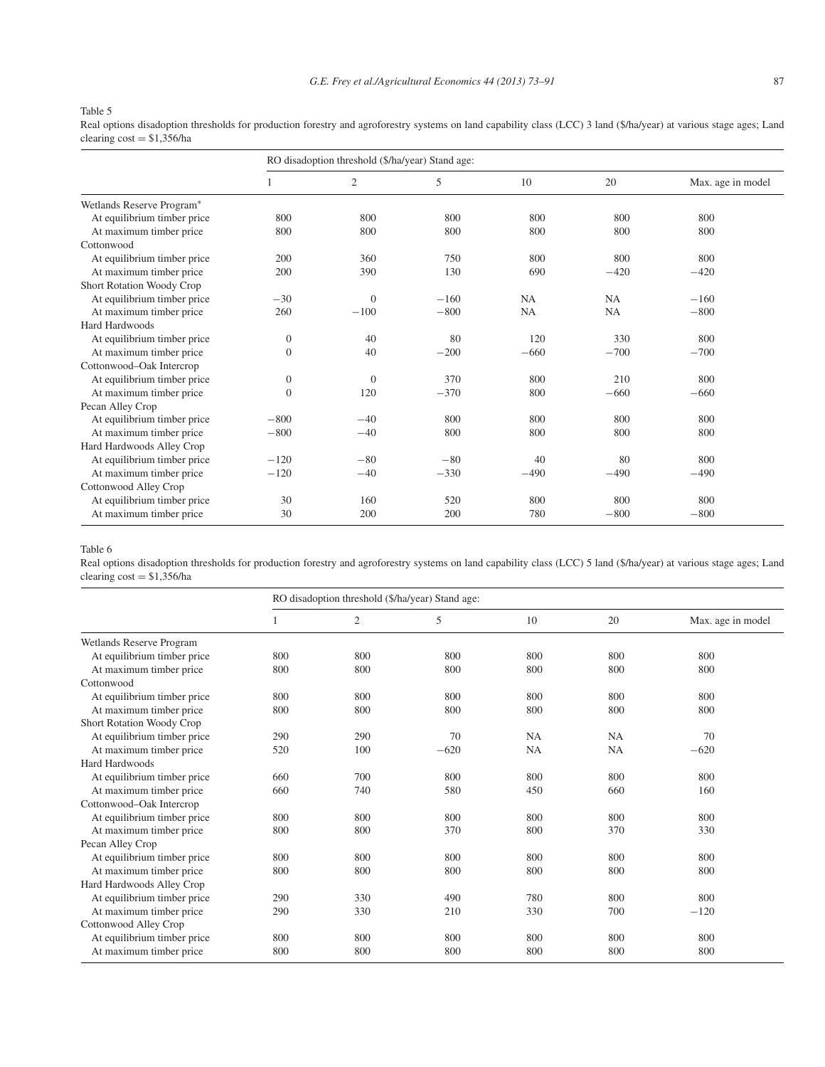# Table 5

Real options disadoption thresholds for production forestry and agroforestry systems on land capability class (LCC) 3 land (\$/ha/year) at various stage ages; Land clearing cost = \$1,356/ha

|                                  |                | RO disadoption threshold (\$/ha/year) Stand age: |        |           |           |                   |
|----------------------------------|----------------|--------------------------------------------------|--------|-----------|-----------|-------------------|
|                                  | 1              | 2                                                | 5      | 10        | 20        | Max. age in model |
| Wetlands Reserve Program*        |                |                                                  |        |           |           |                   |
| At equilibrium timber price      | 800            | 800                                              | 800    | 800       | 800       | 800               |
| At maximum timber price          | 800            | 800                                              | 800    | 800       | 800       | 800               |
| Cottonwood                       |                |                                                  |        |           |           |                   |
| At equilibrium timber price      | 200            | 360                                              | 750    | 800       | 800       | 800               |
| At maximum timber price          | 200            | 390                                              | 130    | 690       | $-420$    | $-420$            |
| <b>Short Rotation Woody Crop</b> |                |                                                  |        |           |           |                   |
| At equilibrium timber price      | $-30$          | $\theta$                                         | $-160$ | <b>NA</b> | NA        | $-160$            |
| At maximum timber price          | 260            | $-100$                                           | $-800$ | <b>NA</b> | <b>NA</b> | $-800$            |
| Hard Hardwoods                   |                |                                                  |        |           |           |                   |
| At equilibrium timber price      | $\overline{0}$ | 40                                               | 80     | 120       | 330       | 800               |
| At maximum timber price          | $\theta$       | 40                                               | $-200$ | $-660$    | $-700$    | $-700$            |
| Cottonwood-Oak Intercrop         |                |                                                  |        |           |           |                   |
| At equilibrium timber price      | $\mathbf{0}$   | $\mathbf{0}$                                     | 370    | 800       | 210       | 800               |
| At maximum timber price          | $\theta$       | 120                                              | $-370$ | 800       | $-660$    | $-660$            |
| Pecan Alley Crop                 |                |                                                  |        |           |           |                   |
| At equilibrium timber price      | $-800$         | $-40$                                            | 800    | 800       | 800       | 800               |
| At maximum timber price          | $-800$         | $-40$                                            | 800    | 800       | 800       | 800               |
| Hard Hardwoods Alley Crop        |                |                                                  |        |           |           |                   |
| At equilibrium timber price      | $-120$         | $-80$                                            | $-80$  | 40        | 80        | 800               |
| At maximum timber price          | $-120$         | $-40$                                            | $-330$ | $-490$    | $-490$    | $-490$            |
| Cottonwood Alley Crop            |                |                                                  |        |           |           |                   |
| At equilibrium timber price      | 30             | 160                                              | 520    | 800       | 800       | 800               |
| At maximum timber price          | 30             | 200                                              | 200    | 780       | $-800$    | $-800$            |

Table 6

Real options disadoption thresholds for production forestry and agroforestry systems on land capability class (LCC) 5 land (\$/ha/year) at various stage ages; Land clearing cost = \$1,356/ha

|                                  | RO disadoption threshold (\$/ha/year) Stand age: |                |        |           |           |                   |
|----------------------------------|--------------------------------------------------|----------------|--------|-----------|-----------|-------------------|
|                                  |                                                  | $\mathfrak{2}$ | 5      | 10        | 20        | Max. age in model |
| Wetlands Reserve Program         |                                                  |                |        |           |           |                   |
| At equilibrium timber price      | 800                                              | 800            | 800    | 800       | 800       | 800               |
| At maximum timber price          | 800                                              | 800            | 800    | 800       | 800       | 800               |
| Cottonwood                       |                                                  |                |        |           |           |                   |
| At equilibrium timber price      | 800                                              | 800            | 800    | 800       | 800       | 800               |
| At maximum timber price          | 800                                              | 800            | 800    | 800       | 800       | 800               |
| <b>Short Rotation Woody Crop</b> |                                                  |                |        |           |           |                   |
| At equilibrium timber price      | 290                                              | 290            | 70     | <b>NA</b> | <b>NA</b> | 70                |
| At maximum timber price          | 520                                              | 100            | $-620$ | <b>NA</b> | <b>NA</b> | $-620$            |
| Hard Hardwoods                   |                                                  |                |        |           |           |                   |
| At equilibrium timber price      | 660                                              | 700            | 800    | 800       | 800       | 800               |
| At maximum timber price          | 660                                              | 740            | 580    | 450       | 660       | 160               |
| Cottonwood-Oak Intercrop         |                                                  |                |        |           |           |                   |
| At equilibrium timber price      | 800                                              | 800            | 800    | 800       | 800       | 800               |
| At maximum timber price          | 800                                              | 800            | 370    | 800       | 370       | 330               |
| Pecan Alley Crop                 |                                                  |                |        |           |           |                   |
| At equilibrium timber price      | 800                                              | 800            | 800    | 800       | 800       | 800               |
| At maximum timber price          | 800                                              | 800            | 800    | 800       | 800       | 800               |
| Hard Hardwoods Alley Crop        |                                                  |                |        |           |           |                   |
| At equilibrium timber price      | 290                                              | 330            | 490    | 780       | 800       | 800               |
| At maximum timber price          | 290                                              | 330            | 210    | 330       | 700       | $-120$            |
| Cottonwood Alley Crop            |                                                  |                |        |           |           |                   |
| At equilibrium timber price      | 800                                              | 800            | 800    | 800       | 800       | 800               |
| At maximum timber price          | 800                                              | 800            | 800    | 800       | 800       | 800               |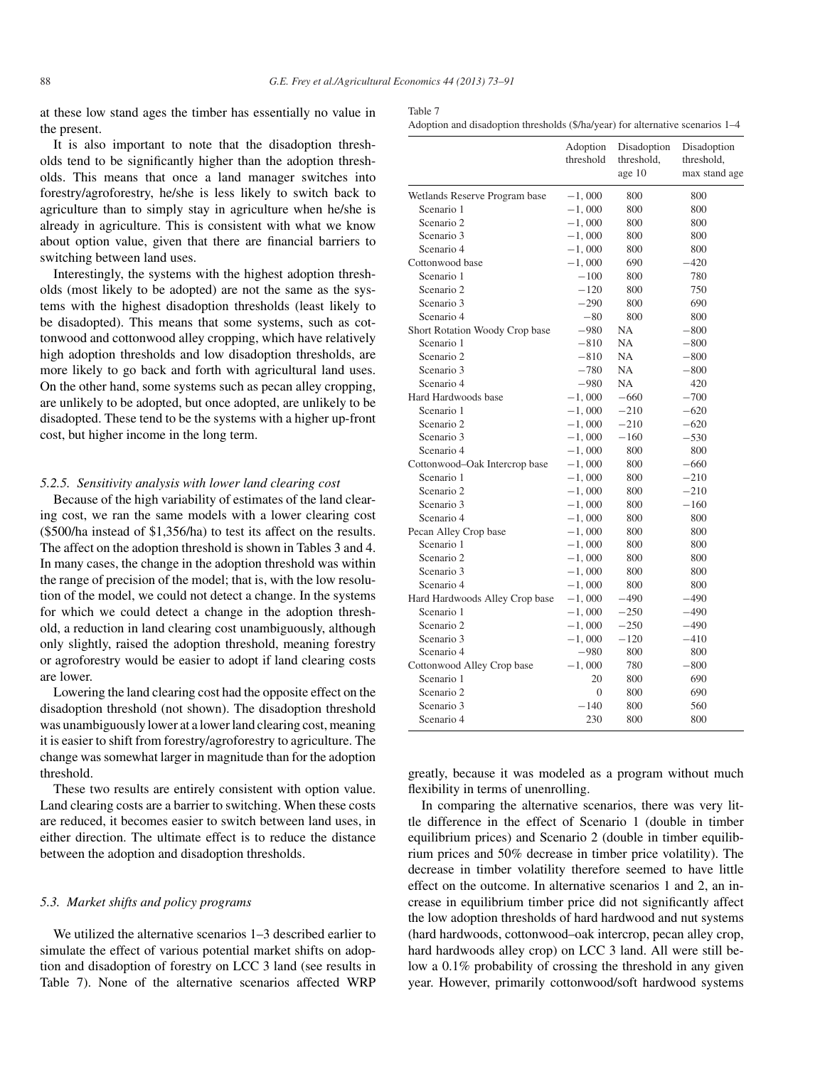at these low stand ages the timber has essentially no value in the present.

It is also important to note that the disadoption thresholds tend to be significantly higher than the adoption thresholds. This means that once a land manager switches into forestry/agroforestry, he/she is less likely to switch back to agriculture than to simply stay in agriculture when he/she is already in agriculture. This is consistent with what we know about option value, given that there are financial barriers to switching between land uses.

Interestingly, the systems with the highest adoption thresholds (most likely to be adopted) are not the same as the systems with the highest disadoption thresholds (least likely to be disadopted). This means that some systems, such as cottonwood and cottonwood alley cropping, which have relatively high adoption thresholds and low disadoption thresholds, are more likely to go back and forth with agricultural land uses. On the other hand, some systems such as pecan alley cropping, are unlikely to be adopted, but once adopted, are unlikely to be disadopted. These tend to be the systems with a higher up-front cost, but higher income in the long term.

#### *5.2.5. Sensitivity analysis with lower land clearing cost*

Because of the high variability of estimates of the land clearing cost, we ran the same models with a lower clearing cost (\$500/ha instead of \$1,356/ha) to test its affect on the results. The affect on the adoption threshold is shown in Tables 3 and 4. In many cases, the change in the adoption threshold was within the range of precision of the model; that is, with the low resolution of the model, we could not detect a change. In the systems for which we could detect a change in the adoption threshold, a reduction in land clearing cost unambiguously, although only slightly, raised the adoption threshold, meaning forestry or agroforestry would be easier to adopt if land clearing costs are lower.

Lowering the land clearing cost had the opposite effect on the disadoption threshold (not shown). The disadoption threshold was unambiguously lower at a lower land clearing cost, meaning it is easier to shift from forestry/agroforestry to agriculture. The change was somewhat larger in magnitude than for the adoption threshold.

These two results are entirely consistent with option value. Land clearing costs are a barrier to switching. When these costs are reduced, it becomes easier to switch between land uses, in either direction. The ultimate effect is to reduce the distance between the adoption and disadoption thresholds.

# *5.3. Market shifts and policy programs*

We utilized the alternative scenarios 1–3 described earlier to simulate the effect of various potential market shifts on adoption and disadoption of forestry on LCC 3 land (see results in Table 7). None of the alternative scenarios affected WRP

| Table 7                                                                        |
|--------------------------------------------------------------------------------|
| Adoption and disadoption thresholds (\$/ha/year) for alternative scenarios 1–4 |

|                                | Adoption<br>threshold | Disadoption<br>threshold,<br>age 10 | Disadoption<br>threshold,<br>max stand age |
|--------------------------------|-----------------------|-------------------------------------|--------------------------------------------|
| Wetlands Reserve Program base  | $-1,000$              | 800                                 | 800                                        |
| Scenario 1                     | $-1,000$              | 800                                 | 800                                        |
| Scenario 2                     | $-1,000$              | 800                                 | 800                                        |
| Scenario 3                     | $-1,000$              | 800                                 | 800                                        |
| Scenario 4                     | $-1,000$              | 800                                 | 800                                        |
| Cottonwood base                | $-1,000$              | 690                                 | $-420$                                     |
| Scenario 1                     | $-100$                | 800                                 | 780                                        |
| Scenario 2                     | $-120$                | 800                                 | 750                                        |
| Scenario 3                     | $-290$                | 800                                 | 690                                        |
| Scenario 4                     | $-80$                 | 800                                 | 800                                        |
| Short Rotation Woody Crop base | $-980$                | <b>NA</b>                           | $-800$                                     |
| Scenario 1                     | $-810$                | <b>NA</b>                           | $-800$                                     |
| Scenario 2                     | $-810$                | <b>NA</b>                           | $-800$                                     |
| Scenario 3                     | $-780$                | NA                                  | $-800$                                     |
| Scenario 4                     | $-980$                | <b>NA</b>                           | 420                                        |
| Hard Hardwoods base            | $-1,000$              | $-660$                              | $-700$                                     |
| Scenario 1                     | $-1,000$              | $-210$                              | $-620$                                     |
| Scenario 2                     | $-1,000$              | $-210$                              | $-620$                                     |
| Scenario 3                     | $-1,000$              | $-160$                              | $-530$                                     |
| Scenario 4                     | $-1,000$              | 800                                 | 800                                        |
| Cottonwood-Oak Intercrop base  | $-1,000$              | 800                                 | $-660$                                     |
| Scenario 1                     | $-1,000$              | 800                                 | $-210$                                     |
| Scenario 2                     | $-1,000$              | 800                                 | $-210$                                     |
| Scenario 3                     | $-1,000$              | 800                                 | $-160$                                     |
| Scenario 4                     | $-1,000$              | 800                                 | 800                                        |
| Pecan Alley Crop base          | $-1,000$              | 800                                 | 800                                        |
| Scenario 1                     | $-1,000$              | 800                                 | 800                                        |
| Scenario 2                     | $-1,000$              | 800                                 | 800                                        |
| Scenario 3                     | $-1,000$              | 800                                 | 800                                        |
| Scenario 4                     | $-1,000$              | 800                                 | 800                                        |
| Hard Hardwoods Alley Crop base | $-1,000$              | $-490$                              | $-490$                                     |
| Scenario 1                     | $-1,000$              | $-250$                              | $-490$                                     |
| Scenario 2                     | $-1,000$              | $-250$                              | $-490$                                     |
| Scenario 3                     | $-1,000$              | $-120$                              | $-410$                                     |
| Scenario 4                     | $-980$                | 800                                 | 800                                        |
| Cottonwood Alley Crop base     | $-1,000$              | 780                                 | $-800$                                     |
| Scenario 1                     | 20                    | 800                                 | 690                                        |
| Scenario 2                     | 0                     | 800                                 | 690                                        |
| Scenario 3                     | $-140$                | 800                                 | 560                                        |
| Scenario 4                     | 230                   | 800                                 | 800                                        |

greatly, because it was modeled as a program without much flexibility in terms of unenrolling.

In comparing the alternative scenarios, there was very little difference in the effect of Scenario 1 (double in timber equilibrium prices) and Scenario 2 (double in timber equilibrium prices and 50% decrease in timber price volatility). The decrease in timber volatility therefore seemed to have little effect on the outcome. In alternative scenarios 1 and 2, an increase in equilibrium timber price did not significantly affect the low adoption thresholds of hard hardwood and nut systems (hard hardwoods, cottonwood–oak intercrop, pecan alley crop, hard hardwoods alley crop) on LCC 3 land. All were still below a 0.1% probability of crossing the threshold in any given year. However, primarily cottonwood/soft hardwood systems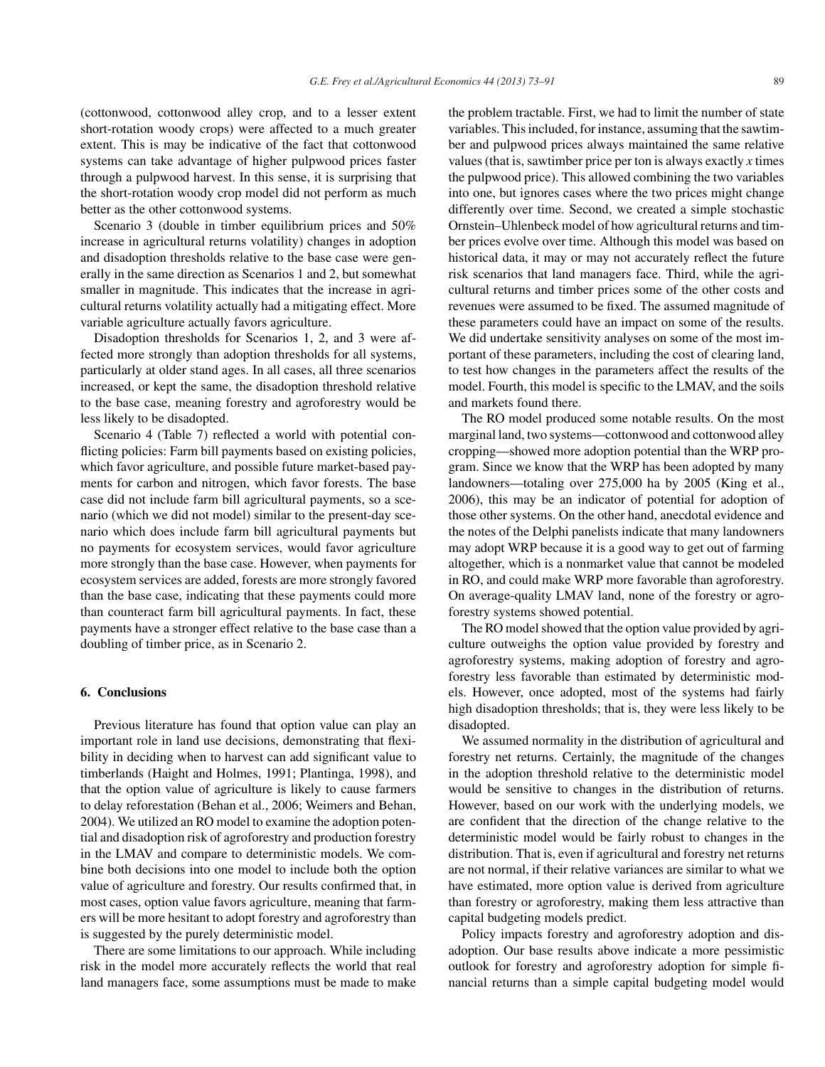(cottonwood, cottonwood alley crop, and to a lesser extent short-rotation woody crops) were affected to a much greater extent. This is may be indicative of the fact that cottonwood systems can take advantage of higher pulpwood prices faster through a pulpwood harvest. In this sense, it is surprising that the short-rotation woody crop model did not perform as much better as the other cottonwood systems.

Scenario 3 (double in timber equilibrium prices and 50% increase in agricultural returns volatility) changes in adoption and disadoption thresholds relative to the base case were generally in the same direction as Scenarios 1 and 2, but somewhat smaller in magnitude. This indicates that the increase in agricultural returns volatility actually had a mitigating effect. More variable agriculture actually favors agriculture.

Disadoption thresholds for Scenarios 1, 2, and 3 were affected more strongly than adoption thresholds for all systems, particularly at older stand ages. In all cases, all three scenarios increased, or kept the same, the disadoption threshold relative to the base case, meaning forestry and agroforestry would be less likely to be disadopted.

Scenario 4 (Table 7) reflected a world with potential conflicting policies: Farm bill payments based on existing policies, which favor agriculture, and possible future market-based payments for carbon and nitrogen, which favor forests. The base case did not include farm bill agricultural payments, so a scenario (which we did not model) similar to the present-day scenario which does include farm bill agricultural payments but no payments for ecosystem services, would favor agriculture more strongly than the base case. However, when payments for ecosystem services are added, forests are more strongly favored than the base case, indicating that these payments could more than counteract farm bill agricultural payments. In fact, these payments have a stronger effect relative to the base case than a doubling of timber price, as in Scenario 2.

# **6. Conclusions**

Previous literature has found that option value can play an important role in land use decisions, demonstrating that flexibility in deciding when to harvest can add significant value to timberlands (Haight and Holmes, 1991; Plantinga, 1998), and that the option value of agriculture is likely to cause farmers to delay reforestation (Behan et al., 2006; Weimers and Behan, 2004). We utilized an RO model to examine the adoption potential and disadoption risk of agroforestry and production forestry in the LMAV and compare to deterministic models. We combine both decisions into one model to include both the option value of agriculture and forestry. Our results confirmed that, in most cases, option value favors agriculture, meaning that farmers will be more hesitant to adopt forestry and agroforestry than is suggested by the purely deterministic model.

There are some limitations to our approach. While including risk in the model more accurately reflects the world that real land managers face, some assumptions must be made to make

the problem tractable. First, we had to limit the number of state variables. This included, for instance, assuming that the sawtimber and pulpwood prices always maintained the same relative values (that is, sawtimber price per ton is always exactly *x* times the pulpwood price). This allowed combining the two variables into one, but ignores cases where the two prices might change differently over time. Second, we created a simple stochastic Ornstein–Uhlenbeck model of how agricultural returns and timber prices evolve over time. Although this model was based on historical data, it may or may not accurately reflect the future risk scenarios that land managers face. Third, while the agricultural returns and timber prices some of the other costs and revenues were assumed to be fixed. The assumed magnitude of these parameters could have an impact on some of the results. We did undertake sensitivity analyses on some of the most important of these parameters, including the cost of clearing land, to test how changes in the parameters affect the results of the model. Fourth, this model is specific to the LMAV, and the soils and markets found there.

The RO model produced some notable results. On the most marginal land, two systems—cottonwood and cottonwood alley cropping—showed more adoption potential than the WRP program. Since we know that the WRP has been adopted by many landowners—totaling over 275,000 ha by 2005 (King et al., 2006), this may be an indicator of potential for adoption of those other systems. On the other hand, anecdotal evidence and the notes of the Delphi panelists indicate that many landowners may adopt WRP because it is a good way to get out of farming altogether, which is a nonmarket value that cannot be modeled in RO, and could make WRP more favorable than agroforestry. On average-quality LMAV land, none of the forestry or agroforestry systems showed potential.

The RO model showed that the option value provided by agriculture outweighs the option value provided by forestry and agroforestry systems, making adoption of forestry and agroforestry less favorable than estimated by deterministic models. However, once adopted, most of the systems had fairly high disadoption thresholds; that is, they were less likely to be disadopted.

We assumed normality in the distribution of agricultural and forestry net returns. Certainly, the magnitude of the changes in the adoption threshold relative to the deterministic model would be sensitive to changes in the distribution of returns. However, based on our work with the underlying models, we are confident that the direction of the change relative to the deterministic model would be fairly robust to changes in the distribution. That is, even if agricultural and forestry net returns are not normal, if their relative variances are similar to what we have estimated, more option value is derived from agriculture than forestry or agroforestry, making them less attractive than capital budgeting models predict.

Policy impacts forestry and agroforestry adoption and disadoption. Our base results above indicate a more pessimistic outlook for forestry and agroforestry adoption for simple financial returns than a simple capital budgeting model would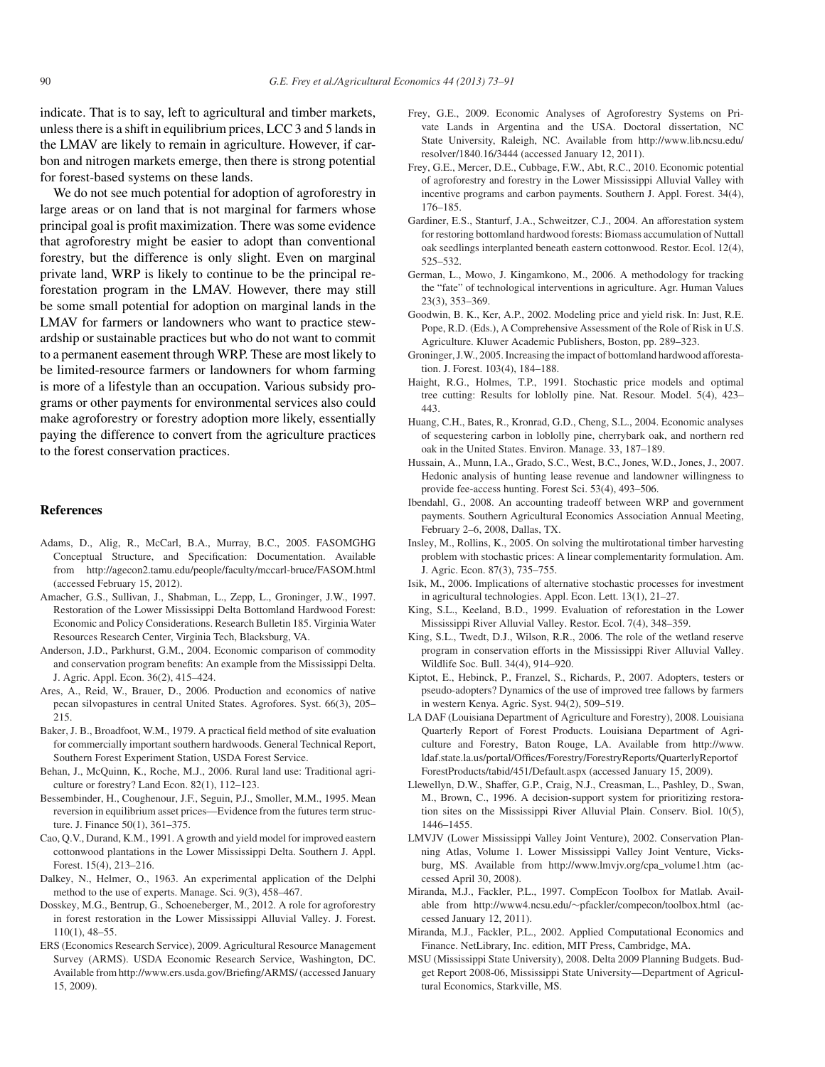indicate. That is to say, left to agricultural and timber markets, unless there is a shift in equilibrium prices, LCC 3 and 5 lands in the LMAV are likely to remain in agriculture. However, if carbon and nitrogen markets emerge, then there is strong potential for forest-based systems on these lands.

We do not see much potential for adoption of agroforestry in large areas or on land that is not marginal for farmers whose principal goal is profit maximization. There was some evidence that agroforestry might be easier to adopt than conventional forestry, but the difference is only slight. Even on marginal private land, WRP is likely to continue to be the principal reforestation program in the LMAV. However, there may still be some small potential for adoption on marginal lands in the LMAV for farmers or landowners who want to practice stewardship or sustainable practices but who do not want to commit to a permanent easement through WRP. These are most likely to be limited-resource farmers or landowners for whom farming is more of a lifestyle than an occupation. Various subsidy programs or other payments for environmental services also could make agroforestry or forestry adoption more likely, essentially paying the difference to convert from the agriculture practices to the forest conservation practices.

#### **References**

- Adams, D., Alig, R., McCarl, B.A., Murray, B.C., 2005. FASOMGHG Conceptual Structure, and Specification: Documentation. Available from http://agecon2.tamu.edu/people/faculty/mccarl-bruce/FASOM.html (accessed February 15, 2012).
- Amacher, G.S., Sullivan, J., Shabman, L., Zepp, L., Groninger, J.W., 1997. Restoration of the Lower Mississippi Delta Bottomland Hardwood Forest: Economic and Policy Considerations. Research Bulletin 185. Virginia Water Resources Research Center, Virginia Tech, Blacksburg, VA.
- Anderson, J.D., Parkhurst, G.M., 2004. Economic comparison of commodity and conservation program benefits: An example from the Mississippi Delta. J. Agric. Appl. Econ. 36(2), 415–424.
- Ares, A., Reid, W., Brauer, D., 2006. Production and economics of native pecan silvopastures in central United States. Agrofores. Syst. 66(3), 205– 215.
- Baker, J. B., Broadfoot, W.M., 1979. A practical field method of site evaluation for commercially important southern hardwoods. General Technical Report, Southern Forest Experiment Station, USDA Forest Service.
- Behan, J., McQuinn, K., Roche, M.J., 2006. Rural land use: Traditional agriculture or forestry? Land Econ. 82(1), 112–123.
- Bessembinder, H., Coughenour, J.F., Seguin, P.J., Smoller, M.M., 1995. Mean reversion in equilibrium asset prices—Evidence from the futures term structure. J. Finance 50(1), 361–375.
- Cao, Q.V., Durand, K.M., 1991. A growth and yield model for improved eastern cottonwood plantations in the Lower Mississippi Delta. Southern J. Appl. Forest. 15(4), 213–216.
- Dalkey, N., Helmer, O., 1963. An experimental application of the Delphi method to the use of experts. Manage. Sci. 9(3), 458–467.
- Dosskey, M.G., Bentrup, G., Schoeneberger, M., 2012. A role for agroforestry in forest restoration in the Lower Mississippi Alluvial Valley. J. Forest. 110(1), 48–55.
- ERS (Economics Research Service), 2009. Agricultural Resource Management Survey (ARMS). USDA Economic Research Service, Washington, DC. Available from http://www.ers.usda.gov/Briefing/ARMS/ (accessed January 15, 2009).
- Frey, G.E., 2009. Economic Analyses of Agroforestry Systems on Private Lands in Argentina and the USA. Doctoral dissertation, NC State University, Raleigh, NC. Available from http://www.lib.ncsu.edu/ resolver/1840.16/3444 (accessed January 12, 2011).
- Frey, G.E., Mercer, D.E., Cubbage, F.W., Abt, R.C., 2010. Economic potential of agroforestry and forestry in the Lower Mississippi Alluvial Valley with incentive programs and carbon payments. Southern J. Appl. Forest. 34(4), 176–185.
- Gardiner, E.S., Stanturf, J.A., Schweitzer, C.J., 2004. An afforestation system for restoring bottomland hardwood forests: Biomass accumulation of Nuttall oak seedlings interplanted beneath eastern cottonwood. Restor. Ecol. 12(4), 525–532.
- German, L., Mowo, J. Kingamkono, M., 2006. A methodology for tracking the "fate" of technological interventions in agriculture. Agr. Human Values 23(3), 353–369.
- Goodwin, B. K., Ker, A.P., 2002. Modeling price and yield risk. In: Just, R.E. Pope, R.D. (Eds.), A Comprehensive Assessment of the Role of Risk in U.S. Agriculture. Kluwer Academic Publishers, Boston, pp. 289–323.
- Groninger, J.W., 2005. Increasing the impact of bottomland hardwood afforestation. J. Forest. 103(4), 184–188.
- Haight, R.G., Holmes, T.P., 1991. Stochastic price models and optimal tree cutting: Results for loblolly pine. Nat. Resour. Model. 5(4), 423– 443.
- Huang, C.H., Bates, R., Kronrad, G.D., Cheng, S.L., 2004. Economic analyses of sequestering carbon in loblolly pine, cherrybark oak, and northern red oak in the United States. Environ. Manage. 33, 187–189.
- Hussain, A., Munn, I.A., Grado, S.C., West, B.C., Jones, W.D., Jones, J., 2007. Hedonic analysis of hunting lease revenue and landowner willingness to provide fee-access hunting. Forest Sci. 53(4), 493–506.
- Ibendahl, G., 2008. An accounting tradeoff between WRP and government payments. Southern Agricultural Economics Association Annual Meeting, February 2–6, 2008, Dallas, TX.
- Insley, M., Rollins, K., 2005. On solving the multirotational timber harvesting problem with stochastic prices: A linear complementarity formulation. Am. J. Agric. Econ. 87(3), 735–755.
- Isik, M., 2006. Implications of alternative stochastic processes for investment in agricultural technologies. Appl. Econ. Lett. 13(1), 21–27.
- King, S.L., Keeland, B.D., 1999. Evaluation of reforestation in the Lower Mississippi River Alluvial Valley. Restor. Ecol. 7(4), 348–359.
- King, S.L., Twedt, D.J., Wilson, R.R., 2006. The role of the wetland reserve program in conservation efforts in the Mississippi River Alluvial Valley. Wildlife Soc. Bull. 34(4), 914–920.
- Kiptot, E., Hebinck, P., Franzel, S., Richards, P., 2007. Adopters, testers or pseudo-adopters? Dynamics of the use of improved tree fallows by farmers in western Kenya. Agric. Syst. 94(2), 509–519.
- LA DAF (Louisiana Department of Agriculture and Forestry), 2008. Louisiana Quarterly Report of Forest Products. Louisiana Department of Agriculture and Forestry, Baton Rouge, LA. Available from http://www. ldaf.state.la.us/portal/Offices/Forestry/ForestryReports/QuarterlyReportof ForestProducts/tabid/451/Default.aspx (accessed January 15, 2009).
- Llewellyn, D.W., Shaffer, G.P., Craig, N.J., Creasman, L., Pashley, D., Swan, M., Brown, C., 1996. A decision-support system for prioritizing restoration sites on the Mississippi River Alluvial Plain. Conserv. Biol. 10(5), 1446–1455.
- LMVJV (Lower Mississippi Valley Joint Venture), 2002. Conservation Planning Atlas, Volume 1. Lower Mississippi Valley Joint Venture, Vicksburg, MS. Available from http://www.lmvjv.org/cpa\_volume1.htm (accessed April 30, 2008).
- Miranda, M.J., Fackler, P.L., 1997. CompEcon Toolbox for Matlab. Available from http://www4.ncsu.edu/∼pfackler/compecon/toolbox.html (accessed January 12, 2011).
- Miranda, M.J., Fackler, P.L., 2002. Applied Computational Economics and Finance. NetLibrary, Inc. edition, MIT Press, Cambridge, MA.
- MSU (Mississippi State University), 2008. Delta 2009 Planning Budgets. Budget Report 2008-06, Mississippi State University—Department of Agricultural Economics, Starkville, MS.